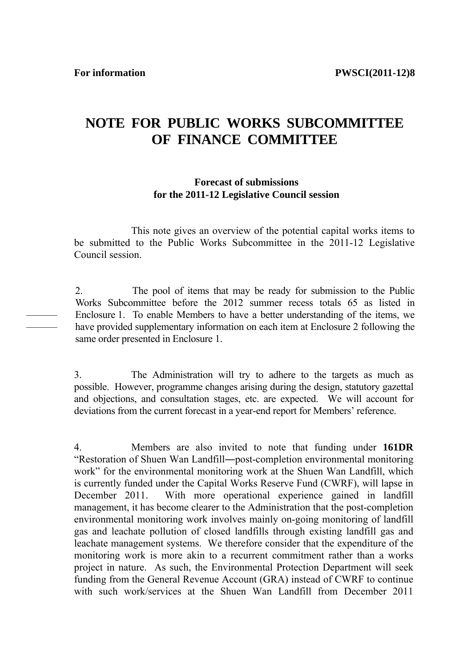———  $\overline{\phantom{a}}$ 

# **NOTE FOR PUBLIC WORKS SUBCOMMITTEE OF FINANCE COMMITTEE**

#### **Forecast of submissions for the 2011-12 Legislative Council session**

 This note gives an overview of the potential capital works items to be submitted to the Public Works Subcommittee in the 2011-12 Legislative Council session.

2. The pool of items that may be ready for submission to the Public Works Subcommittee before the 2012 summer recess totals 65 as listed in Enclosure 1. To enable Members to have a better understanding of the items, we have provided supplementary information on each item at Enclosure 2 following the same order presented in Enclosure 1.

3. The Administration will try to adhere to the targets as much as possible. However, programme changes arising during the design, statutory gazettal and objections, and consultation stages, etc. are expected. We will account for deviations from the current forecast in a year-end report for Members' reference.

4. Members are also invited to note that funding under **161DR** "Restoration of Shuen Wan Landfill―post-completion environmental monitoring work" for the environmental monitoring work at the Shuen Wan Landfill, which is currently funded under the Capital Works Reserve Fund (CWRF), will lapse in December 2011. With more operational experience gained in landfill management, it has become clearer to the Administration that the post-completion environmental monitoring work involves mainly on-going monitoring of landfill gas and leachate pollution of closed landfills through existing landfill gas and leachate management systems. We therefore consider that the expenditure of the monitoring work is more akin to a recurrent commitment rather than a works project in nature. As such, the Environmental Protection Department will seek funding from the General Revenue Account (GRA) instead of CWRF to continue with such work/services at the Shuen Wan Landfill from December 2011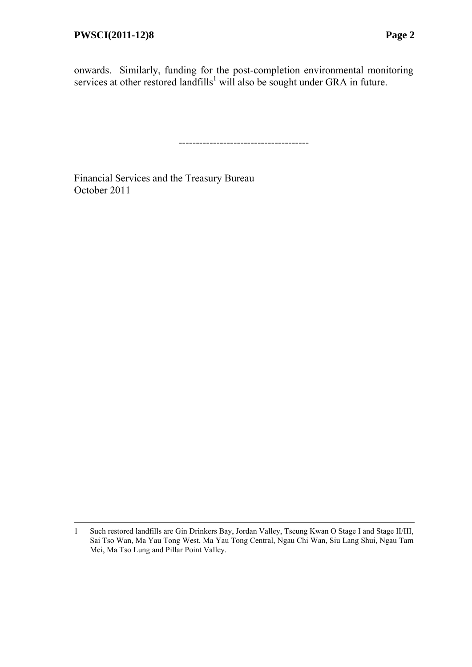l

onwards. Similarly, funding for the post-completion environmental monitoring services at other restored landfills<sup>1</sup> will also be sought under GRA in future.

--------------------------------------

Financial Services and the Treasury Bureau October 2011

<sup>1</sup> Such restored landfills are Gin Drinkers Bay, Jordan Valley, Tseung Kwan O Stage I and Stage II/III, Sai Tso Wan, Ma Yau Tong West, Ma Yau Tong Central, Ngau Chi Wan, Siu Lang Shui, Ngau Tam Mei, Ma Tso Lung and Pillar Point Valley.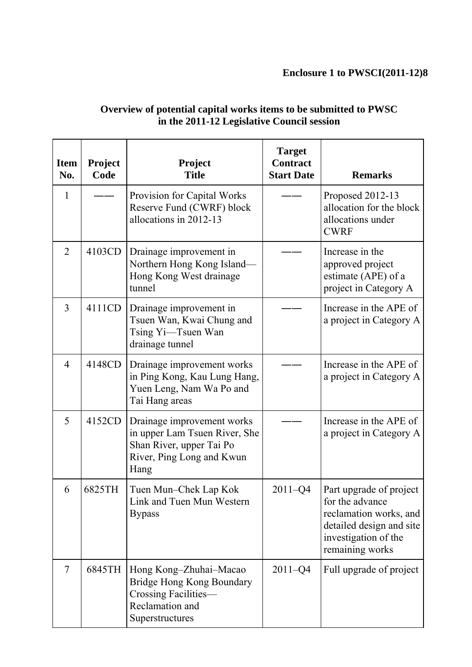# **Enclosure 1 to PWSCI(2011-12)8**

| <b>Item</b><br>No. | Project<br>Code | Project<br><b>Title</b>                                                                                                      | <b>Target</b><br><b>Contract</b><br><b>Start Date</b> | <b>Remarks</b>                                                                                                                              |
|--------------------|-----------------|------------------------------------------------------------------------------------------------------------------------------|-------------------------------------------------------|---------------------------------------------------------------------------------------------------------------------------------------------|
| 1                  |                 | Provision for Capital Works<br>Reserve Fund (CWRF) block<br>allocations in 2012-13                                           |                                                       | Proposed 2012-13<br>allocation for the block<br>allocations under<br><b>CWRF</b>                                                            |
| $\overline{2}$     | 4103CD          | Drainage improvement in<br>Northern Hong Kong Island-<br>Hong Kong West drainage<br>tunnel                                   |                                                       | Increase in the<br>approved project<br>estimate (APE) of a<br>project in Category A                                                         |
| $\overline{3}$     | 4111CD          | Drainage improvement in<br>Tsuen Wan, Kwai Chung and<br>Tsing Yi-Tsuen Wan<br>drainage tunnel                                |                                                       | Increase in the APE of<br>a project in Category A                                                                                           |
| $\overline{4}$     | 4148CD          | Drainage improvement works<br>in Ping Kong, Kau Lung Hang,<br>Yuen Leng, Nam Wa Po and<br>Tai Hang areas                     |                                                       | Increase in the APE of<br>a project in Category A                                                                                           |
| 5                  | 4152CD          | Drainage improvement works<br>in upper Lam Tsuen River, She<br>Shan River, upper Tai Po<br>River, Ping Long and Kwun<br>Hang |                                                       | Increase in the APE of<br>a project in Category A                                                                                           |
| 6                  | 6825TH          | Tuen Mun-Chek Lap Kok<br>Link and Tuen Mun Western<br><b>Bypass</b>                                                          | $2011 - Q4$                                           | Part upgrade of project<br>for the advance<br>reclamation works, and<br>detailed design and site<br>investigation of the<br>remaining works |
| $\overline{7}$     | 6845TH          | Hong Kong-Zhuhai-Macao<br>Bridge Hong Kong Boundary<br>Crossing Facilities-<br>Reclamation and<br>Superstructures            | $2011 - Q4$                                           | Full upgrade of project                                                                                                                     |

### **Overview of potential capital works items to be submitted to PWSC in the 2011-12 Legislative Council session**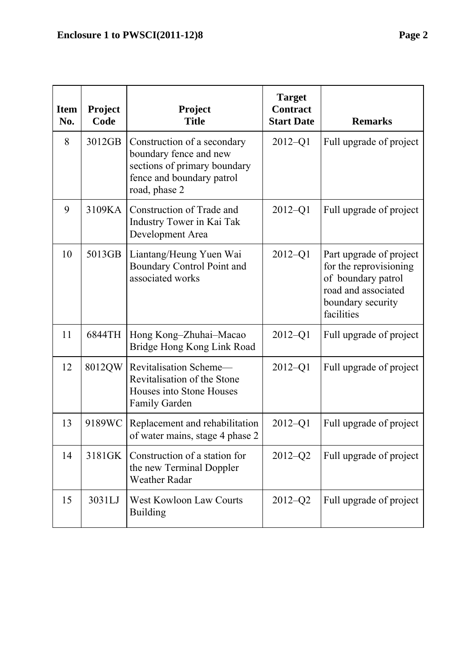| <b>Item</b><br>No. | Project<br>Code | Project<br><b>Title</b>                                                                                                             | <b>Target</b><br><b>Contract</b><br><b>Start Date</b> | <b>Remarks</b>                                                                                                                    |
|--------------------|-----------------|-------------------------------------------------------------------------------------------------------------------------------------|-------------------------------------------------------|-----------------------------------------------------------------------------------------------------------------------------------|
| 8                  | 3012GB          | Construction of a secondary<br>boundary fence and new<br>sections of primary boundary<br>fence and boundary patrol<br>road, phase 2 | $2012 - Q1$                                           | Full upgrade of project                                                                                                           |
| 9                  | 3109KA          | Construction of Trade and<br>Industry Tower in Kai Tak<br>Development Area                                                          | $2012 - Q1$                                           | Full upgrade of project                                                                                                           |
| 10                 | 5013GB          | Liantang/Heung Yuen Wai<br>Boundary Control Point and<br>associated works                                                           | $2012 - Q1$                                           | Part upgrade of project<br>for the reprovisioning<br>of boundary patrol<br>road and associated<br>boundary security<br>facilities |
| 11                 | 6844TH          | Hong Kong-Zhuhai-Macao<br>Bridge Hong Kong Link Road                                                                                | $2012 - Q1$                                           | Full upgrade of project                                                                                                           |
| 12                 | 8012QW          | Revitalisation Scheme-<br>Revitalisation of the Stone<br>Houses into Stone Houses<br><b>Family Garden</b>                           | $2012 - Q1$                                           | Full upgrade of project                                                                                                           |
| 13                 | 9189WC          | Replacement and rehabilitation<br>of water mains, stage 4 phase 2                                                                   | $2012 - Q1$                                           | Full upgrade of project                                                                                                           |
| 14                 | 3181GK          | Construction of a station for<br>the new Terminal Doppler<br><b>Weather Radar</b>                                                   | $2012 - Q2$                                           | Full upgrade of project                                                                                                           |
| 15                 | 3031LJ          | <b>West Kowloon Law Courts</b><br><b>Building</b>                                                                                   | $2012 - Q2$                                           | Full upgrade of project                                                                                                           |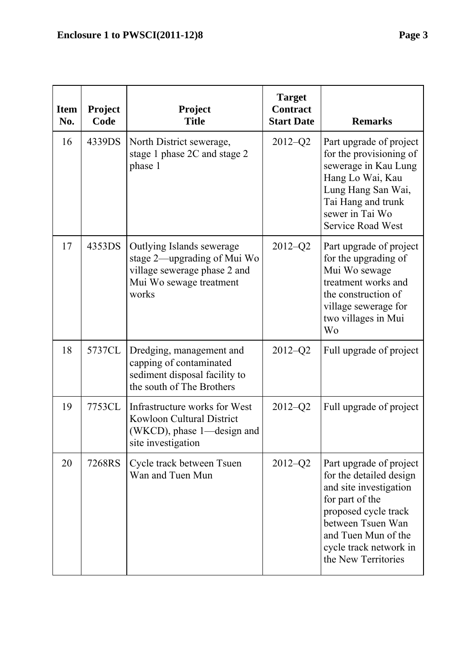| <b>Item</b><br>No. | <b>Project</b><br>Code | Project<br><b>Title</b>                                                                                                      | <b>Target</b><br><b>Contract</b><br><b>Start Date</b> | <b>Remarks</b>                                                                                                                                                                                                       |
|--------------------|------------------------|------------------------------------------------------------------------------------------------------------------------------|-------------------------------------------------------|----------------------------------------------------------------------------------------------------------------------------------------------------------------------------------------------------------------------|
| 16                 | 4339DS                 | North District sewerage,<br>stage 1 phase 2C and stage 2<br>phase 1                                                          | $2012 - Q2$                                           | Part upgrade of project<br>for the provisioning of<br>sewerage in Kau Lung<br>Hang Lo Wai, Kau<br>Lung Hang San Wai,<br>Tai Hang and trunk<br>sewer in Tai Wo<br><b>Service Road West</b>                            |
| 17                 | 4353DS                 | Outlying Islands sewerage<br>stage 2—upgrading of Mui Wo<br>village sewerage phase 2 and<br>Mui Wo sewage treatment<br>works | $2012 - Q2$                                           | Part upgrade of project<br>for the upgrading of<br>Mui Wo sewage<br>treatment works and<br>the construction of<br>village sewerage for<br>two villages in Mui<br><b>Wo</b>                                           |
| 18                 | 5737CL                 | Dredging, management and<br>capping of contaminated<br>sediment disposal facility to<br>the south of The Brothers            | $2012 - Q2$                                           | Full upgrade of project                                                                                                                                                                                              |
| 19                 | 7753CL                 | Infrastructure works for West<br>Kowloon Cultural District<br>(WKCD), phase 1—design and<br>site investigation               | $2012 - Q2$                                           | Full upgrade of project                                                                                                                                                                                              |
| 20                 | 7268RS                 | Cycle track between Tsuen<br>Wan and Tuen Mun                                                                                | $2012 - Q2$                                           | Part upgrade of project<br>for the detailed design<br>and site investigation<br>for part of the<br>proposed cycle track<br>between Tsuen Wan<br>and Tuen Mun of the<br>cycle track network in<br>the New Territories |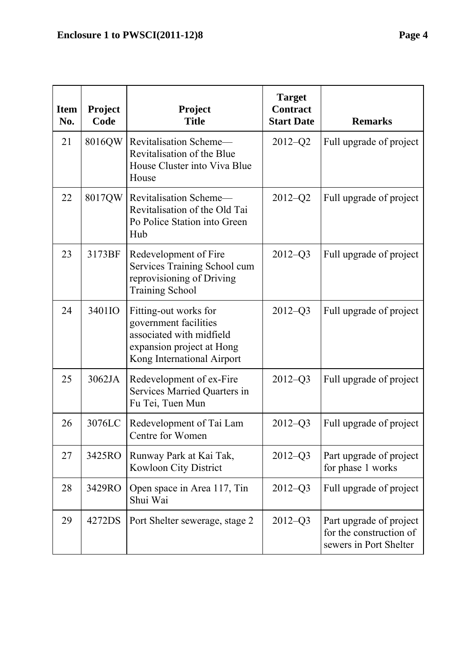| <b>Item</b><br>No. | Project<br>Code | Project<br><b>Title</b>                                                                                                               | <b>Target</b><br><b>Contract</b><br><b>Start Date</b> | <b>Remarks</b>                                                               |
|--------------------|-----------------|---------------------------------------------------------------------------------------------------------------------------------------|-------------------------------------------------------|------------------------------------------------------------------------------|
| 21                 | 8016QW          | Revitalisation Scheme-<br>Revitalisation of the Blue<br>House Cluster into Viva Blue<br>House                                         | $2012 - Q2$                                           | Full upgrade of project                                                      |
| 22                 | 8017QW          | Revitalisation Scheme—<br>Revitalisation of the Old Tai<br>Po Police Station into Green<br>Hub                                        | $2012 - Q2$                                           | Full upgrade of project                                                      |
| 23                 | 3173BF          | Redevelopment of Fire<br>Services Training School cum<br>reprovisioning of Driving<br><b>Training School</b>                          | $2012 - Q3$                                           | Full upgrade of project                                                      |
| 24                 | 3401IO          | Fitting-out works for<br>government facilities<br>associated with midfield<br>expansion project at Hong<br>Kong International Airport | $2012 - Q3$                                           | Full upgrade of project                                                      |
| 25                 | 3062JA          | Redevelopment of ex-Fire<br>Services Married Quarters in<br>Fu Tei, Tuen Mun                                                          | $2012 - Q3$                                           | Full upgrade of project                                                      |
| 26                 | 3076LC          | Redevelopment of Tai Lam<br>Centre for Women                                                                                          | $2012 - Q3$                                           | Full upgrade of project                                                      |
| 27                 | 3425RO          | Runway Park at Kai Tak,<br>Kowloon City District                                                                                      | $2012 - Q3$                                           | Part upgrade of project<br>for phase 1 works                                 |
| 28                 | 3429RO          | Open space in Area 117, Tin<br>Shui Wai                                                                                               | $2012 - Q3$                                           | Full upgrade of project                                                      |
| 29                 | 4272DS          | Port Shelter sewerage, stage 2                                                                                                        | $2012 - Q3$                                           | Part upgrade of project<br>for the construction of<br>sewers in Port Shelter |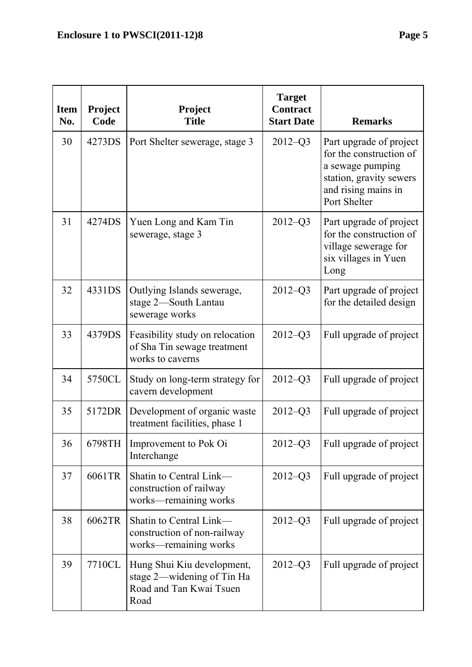**Item No.** 

| <b>Item</b> | <b>Project</b> | <b>Project</b>                             | <b>Target</b><br><b>Contract</b> |                                                                                                                                          |
|-------------|----------------|--------------------------------------------|----------------------------------|------------------------------------------------------------------------------------------------------------------------------------------|
| No.         | Code           | <b>Title</b>                               | <b>Start Date</b>                | <b>Remarks</b>                                                                                                                           |
| 30          | 4273DS         | Port Shelter sewerage, stage 3             | $2012 - Q3$                      | Part upgrade of project<br>for the construction of<br>a sewage pumping<br>station, gravity sewers<br>and rising mains in<br>Port Shelter |
| 31          | 4274DS         | Yuen Long and Kam Tin<br>sewerage, stage 3 | $2012 - Q3$                      | Part upgrade of project<br>for the construction of<br>village sewerage for<br>six villages in Yuen<br>Long                               |
| 32          | 4331DS         | Outlying Islands sewerage,                 | $2012 - 03$                      | Part upgrade of project                                                                                                                  |

| 31 | 4274DS | Yuen Long and Kam Tin<br>sewerage, stage 3                                                  | $2012 - Q3$ | Part upgrade of project<br>for the construction of<br>village sewerage for<br>six villages in Yuen<br>Long |
|----|--------|---------------------------------------------------------------------------------------------|-------------|------------------------------------------------------------------------------------------------------------|
| 32 | 4331DS | Outlying Islands sewerage,<br>stage 2-South Lantau<br>sewerage works                        | $2012 - Q3$ | Part upgrade of project<br>for the detailed design                                                         |
| 33 | 4379DS | Feasibility study on relocation<br>of Sha Tin sewage treatment<br>works to caverns          | $2012 - Q3$ | Full upgrade of project                                                                                    |
| 34 | 5750CL | Study on long-term strategy for<br>cavern development                                       | $2012 - Q3$ | Full upgrade of project                                                                                    |
| 35 | 5172DR | Development of organic waste<br>treatment facilities, phase 1                               | $2012 - Q3$ | Full upgrade of project                                                                                    |
| 36 | 6798TH | Improvement to Pok Oi<br>Interchange                                                        | $2012 - Q3$ | Full upgrade of project                                                                                    |
| 37 | 6061TR | Shatin to Central Link-<br>construction of railway<br>works-remaining works                 | $2012 - Q3$ | Full upgrade of project                                                                                    |
| 38 | 6062TR | Shatin to Central Link—<br>construction of non-railway<br>works—remaining works             | $2012 - Q3$ | Full upgrade of project                                                                                    |
| 39 | 7710CL | Hung Shui Kiu development,<br>stage 2-widening of Tin Ha<br>Road and Tan Kwai Tsuen<br>Road | $2012 - Q3$ | Full upgrade of project                                                                                    |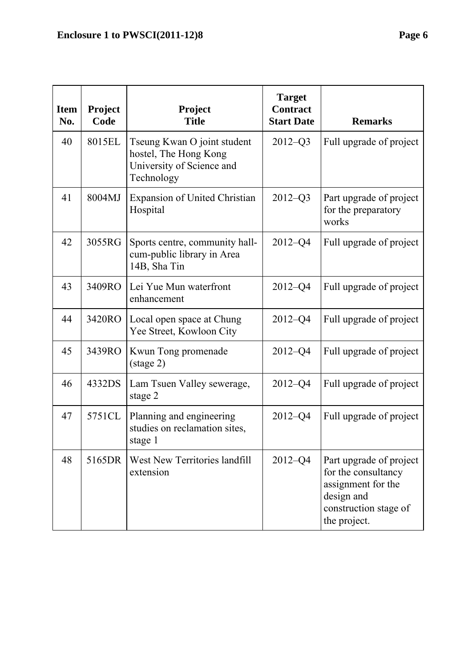| <b>Item</b><br>No. | <b>Project</b><br>Code | <b>Project</b><br><b>Title</b>                                                                  | <b>Target</b><br><b>Contract</b><br><b>Start Date</b> | <b>Remarks</b>                                                                                                              |
|--------------------|------------------------|-------------------------------------------------------------------------------------------------|-------------------------------------------------------|-----------------------------------------------------------------------------------------------------------------------------|
| 40                 | 8015EL                 | Tseung Kwan O joint student<br>hostel, The Hong Kong<br>University of Science and<br>Technology | $2012 - Q3$                                           | Full upgrade of project                                                                                                     |
| 41                 | 8004MJ                 | <b>Expansion of United Christian</b><br>Hospital                                                | $2012 - Q3$                                           | Part upgrade of project<br>for the preparatory<br>works                                                                     |
| 42                 | 3055RG                 | Sports centre, community hall-<br>cum-public library in Area<br>14B, Sha Tin                    | $2012 - Q4$                                           | Full upgrade of project                                                                                                     |
| 43                 | 3409RO                 | Lei Yue Mun waterfront<br>enhancement                                                           | $2012 - Q4$                                           | Full upgrade of project                                                                                                     |
| 44                 | 3420RO                 | Local open space at Chung<br>Yee Street, Kowloon City                                           | $2012 - Q4$                                           | Full upgrade of project                                                                                                     |
| 45                 | 3439RO                 | Kwun Tong promenade<br>$(\text{stage } 2)$                                                      | $2012 - Q4$                                           | Full upgrade of project                                                                                                     |
| 46                 | 4332DS                 | Lam Tsuen Valley sewerage,<br>stage 2                                                           | $2012 - Q4$                                           | Full upgrade of project                                                                                                     |
| 47                 | 5751CL                 | Planning and engineering<br>studies on reclamation sites,<br>stage 1                            | $2012 - Q4$                                           | Full upgrade of project                                                                                                     |
| 48                 | 5165DR                 | West New Territories landfill<br>extension                                                      | $2012 - Q4$                                           | Part upgrade of project<br>for the consultancy<br>assignment for the<br>design and<br>construction stage of<br>the project. |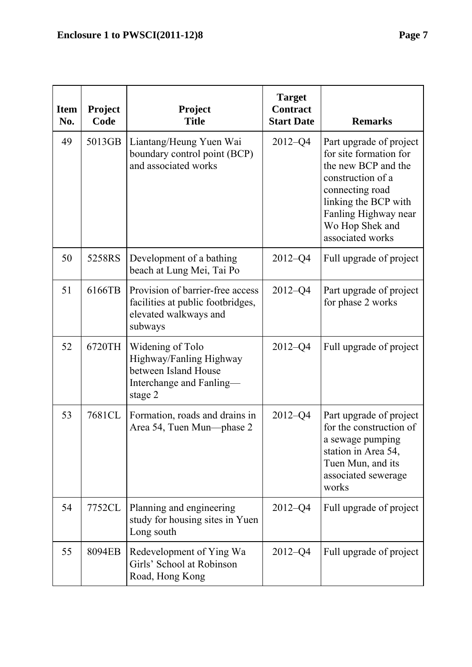| <b>Item</b><br>No. | Project<br>Code | Project<br><b>Title</b>                                                                                    | <b>Target</b><br><b>Contract</b><br><b>Start Date</b> | <b>Remarks</b>                                                                                                                                                                                          |
|--------------------|-----------------|------------------------------------------------------------------------------------------------------------|-------------------------------------------------------|---------------------------------------------------------------------------------------------------------------------------------------------------------------------------------------------------------|
| 49                 | 5013GB          | Liantang/Heung Yuen Wai<br>boundary control point (BCP)<br>and associated works                            | $2012 - Q4$                                           | Part upgrade of project<br>for site formation for<br>the new BCP and the<br>construction of a<br>connecting road<br>linking the BCP with<br>Fanling Highway near<br>Wo Hop Shek and<br>associated works |
| 50                 | 5258RS          | Development of a bathing<br>beach at Lung Mei, Tai Po                                                      | $2012 - Q4$                                           | Full upgrade of project                                                                                                                                                                                 |
| 51                 | 6166TB          | Provision of barrier-free access<br>facilities at public footbridges,<br>elevated walkways and<br>subways  | $2012 - Q4$                                           | Part upgrade of project<br>for phase 2 works                                                                                                                                                            |
| 52                 | 6720TH          | Widening of Tolo<br>Highway/Fanling Highway<br>between Island House<br>Interchange and Fanling-<br>stage 2 | $2012 - Q4$                                           | Full upgrade of project                                                                                                                                                                                 |
| 53                 | 7681CL          | Formation, roads and drains in<br>Area 54, Tuen Mun—phase 2                                                | $2012 - Q4$                                           | Part upgrade of project<br>for the construction of<br>a sewage pumping<br>station in Area 54,<br>Tuen Mun, and its<br>associated sewerage<br>works                                                      |
| 54                 | 7752CL          | Planning and engineering<br>study for housing sites in Yuen<br>Long south                                  | $2012 - Q4$                                           | Full upgrade of project                                                                                                                                                                                 |
| 55                 | 8094EB          | Redevelopment of Ying Wa<br>Girls' School at Robinson<br>Road, Hong Kong                                   | $2012 - Q4$                                           | Full upgrade of project                                                                                                                                                                                 |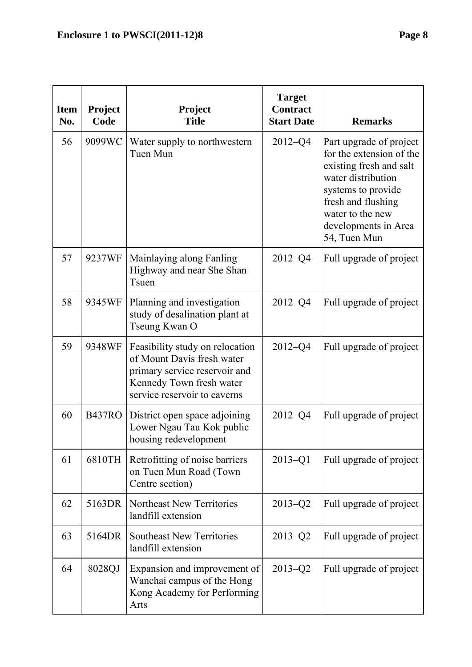**Item No.** 

| tem<br>No. | <b>Project</b><br>Code | Project<br><b>Title</b>                                                                                                                                     | <b>Target</b><br><b>Contract</b><br><b>Start Date</b> | <b>Remarks</b>                                                                                                                                                                                               |
|------------|------------------------|-------------------------------------------------------------------------------------------------------------------------------------------------------------|-------------------------------------------------------|--------------------------------------------------------------------------------------------------------------------------------------------------------------------------------------------------------------|
| 56         | 9099WC                 | Water supply to northwestern<br>Tuen Mun                                                                                                                    | $2012 - Q4$                                           | Part upgrade of project<br>for the extension of the<br>existing fresh and salt<br>water distribution<br>systems to provide<br>fresh and flushing<br>water to the new<br>developments in Area<br>54, Tuen Mun |
| 57         | 9237WF                 | Mainlaying along Fanling<br>Highway and near She Shan<br>Tsuen                                                                                              | $2012 - Q4$                                           | Full upgrade of project                                                                                                                                                                                      |
| 58         | 9345WF                 | Planning and investigation<br>study of desalination plant at<br>Tseung Kwan O                                                                               | $2012 - Q4$                                           | Full upgrade of project                                                                                                                                                                                      |
| 59         | 9348WF                 | Feasibility study on relocation<br>of Mount Davis fresh water<br>primary service reservoir and<br>Kennedy Town fresh water<br>corrigo rocorroir to corrorse | $2012 - Q4$                                           | Full upgrade of project                                                                                                                                                                                      |

|    |               | Tseung Kwan O                                                                                                                                              |             |                         |
|----|---------------|------------------------------------------------------------------------------------------------------------------------------------------------------------|-------------|-------------------------|
| 59 | 9348WF        | Feasibility study on relocation<br>of Mount Davis fresh water<br>primary service reservoir and<br>Kennedy Town fresh water<br>service reservoir to caverns | $2012 - 04$ | Full upgrade of project |
| 60 | <b>B437RO</b> | District open space adjoining<br>Lower Ngau Tau Kok public<br>housing redevelopment                                                                        | $2012 - 04$ | Full upgrade of project |
| 61 | 6810TH        | Retrofitting of noise barriers<br>on Tuen Mun Road (Town                                                                                                   | $2013 - Q1$ | Full upgrade of project |

|    |        | on Tuen Mun Road (Town)<br>Centre section)                                                        |             |                         |
|----|--------|---------------------------------------------------------------------------------------------------|-------------|-------------------------|
| 62 |        | 5163DR   Northeast New Territories<br>landfill extension                                          | $2013 - 02$ | Full upgrade of project |
| 63 |        | 5164DR Southeast New Territories<br>landfill extension                                            | $2013 - 02$ | Full upgrade of project |
| 64 | 8028QJ | Expansion and improvement of<br>Wanchai campus of the Hong<br>Kong Academy for Performing<br>Arts | $2013 - 02$ | Full upgrade of project |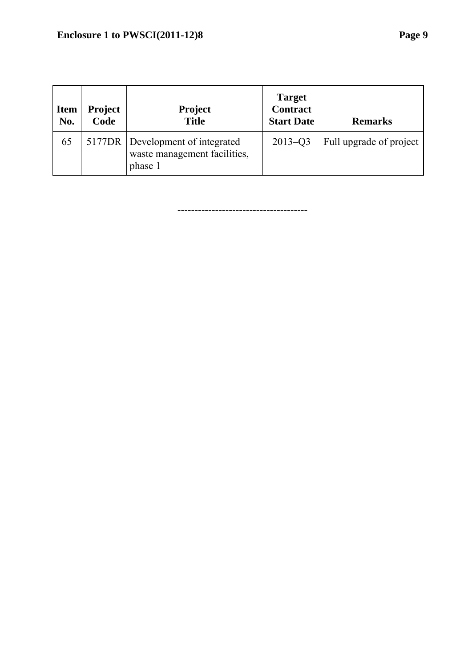| <b>Item</b><br>No. | <b>Project</b><br>Code | <b>Project</b><br><b>Title</b>                                              | <b>Target</b><br><b>Contract</b><br><b>Start Date</b> | <b>Remarks</b>          |
|--------------------|------------------------|-----------------------------------------------------------------------------|-------------------------------------------------------|-------------------------|
| 65                 |                        | 5177DR Development of integrated<br>waste management facilities,<br>phase 1 | $2013 - Q3$                                           | Full upgrade of project |

--------------------------------------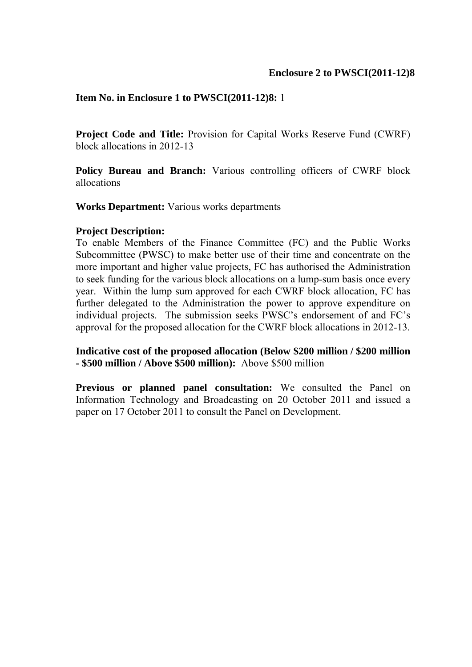**Project Code and Title:** Provision for Capital Works Reserve Fund (CWRF) block allocations in 2012-13

**Policy Bureau and Branch:** Various controlling officers of CWRF block allocations

**Works Department:** Various works departments

#### **Project Description:**

To enable Members of the Finance Committee (FC) and the Public Works Subcommittee (PWSC) to make better use of their time and concentrate on the more important and higher value projects, FC has authorised the Administration to seek funding for the various block allocations on a lump-sum basis once every year. Within the lump sum approved for each CWRF block allocation, FC has further delegated to the Administration the power to approve expenditure on individual projects. The submission seeks PWSC's endorsement of and FC's approval for the proposed allocation for the CWRF block allocations in 2012-13.

**Indicative cost of the proposed allocation (Below \$200 million / \$200 million - \$500 million / Above \$500 million):** Above \$500 million

**Previous or planned panel consultation:** We consulted the Panel on Information Technology and Broadcasting on 20 October 2011 and issued a paper on 17 October 2011 to consult the Panel on Development.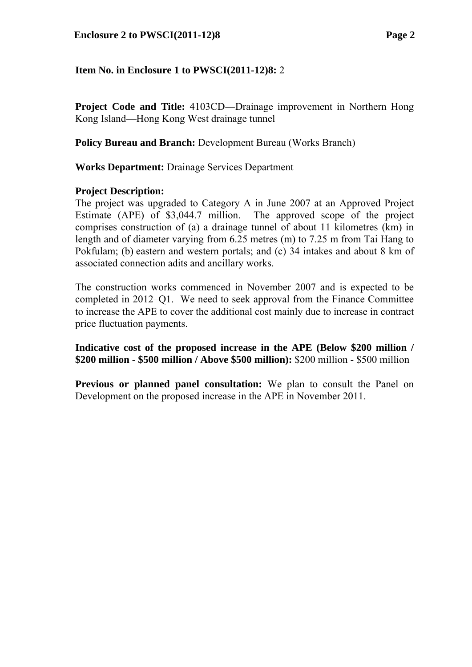**Project Code and Title:** 4103CD—Drainage improvement in Northern Hong Kong Island—Hong Kong West drainage tunnel

**Policy Bureau and Branch:** Development Bureau (Works Branch)

**Works Department:** Drainage Services Department

### **Project Description:**

The project was upgraded to Category A in June 2007 at an Approved Project Estimate (APE) of \$3,044.7 million. The approved scope of the project comprises construction of (a) a drainage tunnel of about 11 kilometres (km) in length and of diameter varying from 6.25 metres (m) to 7.25 m from Tai Hang to Pokfulam; (b) eastern and western portals; and (c) 34 intakes and about 8 km of associated connection adits and ancillary works.

The construction works commenced in November 2007 and is expected to be completed in 2012–Q1. We need to seek approval from the Finance Committee to increase the APE to cover the additional cost mainly due to increase in contract price fluctuation payments.

**Indicative cost of the proposed increase in the APE (Below \$200 million / \$200 million - \$500 million / Above \$500 million):** \$200 million - \$500 million

**Previous or planned panel consultation:** We plan to consult the Panel on Development on the proposed increase in the APE in November 2011.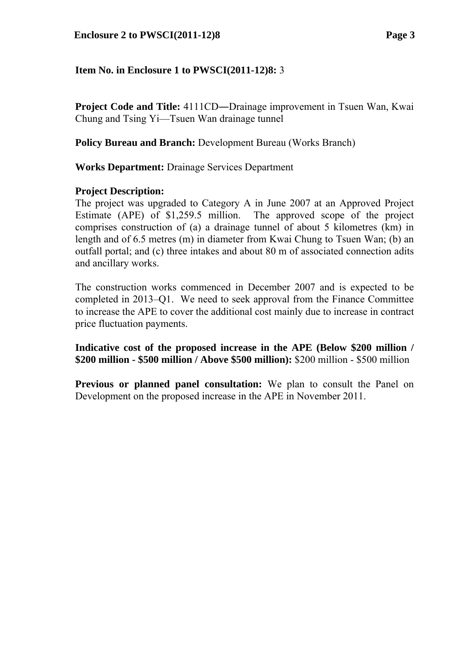**Project Code and Title:** 4111CD—Drainage improvement in Tsuen Wan, Kwai Chung and Tsing Yi—Tsuen Wan drainage tunnel

**Policy Bureau and Branch:** Development Bureau (Works Branch)

**Works Department:** Drainage Services Department

# **Project Description:**

The project was upgraded to Category A in June 2007 at an Approved Project Estimate (APE) of \$1,259.5 million. The approved scope of the project comprises construction of (a) a drainage tunnel of about 5 kilometres (km) in length and of 6.5 metres (m) in diameter from Kwai Chung to Tsuen Wan; (b) an outfall portal; and (c) three intakes and about 80 m of associated connection adits and ancillary works.

The construction works commenced in December 2007 and is expected to be completed in 2013–Q1. We need to seek approval from the Finance Committee to increase the APE to cover the additional cost mainly due to increase in contract price fluctuation payments.

**Indicative cost of the proposed increase in the APE (Below \$200 million / \$200 million - \$500 million / Above \$500 million):** \$200 million - \$500 million

**Previous or planned panel consultation:** We plan to consult the Panel on Development on the proposed increase in the APE in November 2011.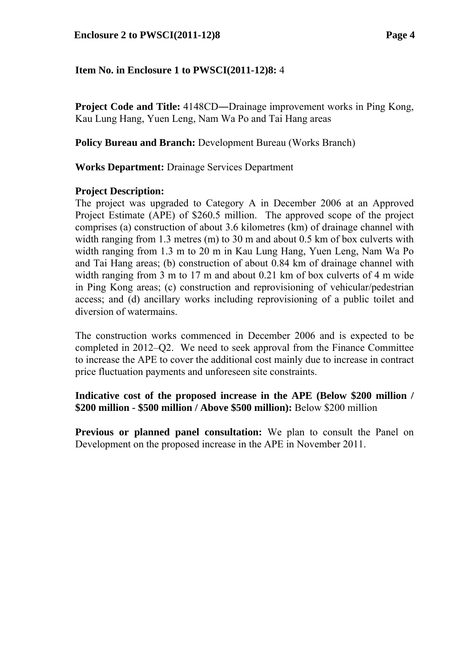**Project Code and Title:** 4148CD―Drainage improvement works in Ping Kong, Kau Lung Hang, Yuen Leng, Nam Wa Po and Tai Hang areas

**Policy Bureau and Branch:** Development Bureau (Works Branch)

**Works Department:** Drainage Services Department

### **Project Description:**

The project was upgraded to Category A in December 2006 at an Approved Project Estimate (APE) of \$260.5 million. The approved scope of the project comprises (a) construction of about 3.6 kilometres (km) of drainage channel with width ranging from 1.3 metres (m) to 30 m and about 0.5 km of box culverts with width ranging from 1.3 m to 20 m in Kau Lung Hang, Yuen Leng, Nam Wa Po and Tai Hang areas; (b) construction of about 0.84 km of drainage channel with width ranging from 3 m to 17 m and about 0.21 km of box culverts of 4 m wide in Ping Kong areas; (c) construction and reprovisioning of vehicular/pedestrian access; and (d) ancillary works including reprovisioning of a public toilet and diversion of watermains.

The construction works commenced in December 2006 and is expected to be completed in 2012–Q2. We need to seek approval from the Finance Committee to increase the APE to cover the additional cost mainly due to increase in contract price fluctuation payments and unforeseen site constraints.

**Indicative cost of the proposed increase in the APE (Below \$200 million / \$200 million - \$500 million / Above \$500 million):** Below \$200 million

**Previous or planned panel consultation:** We plan to consult the Panel on Development on the proposed increase in the APE in November 2011.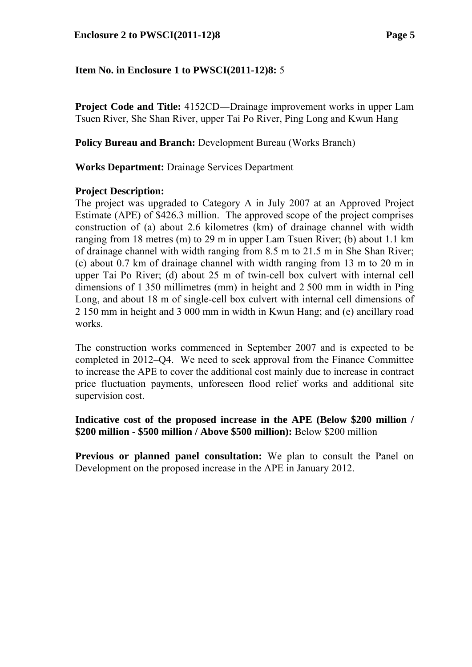**Project Code and Title:** 4152CD—Drainage improvement works in upper Lam Tsuen River, She Shan River, upper Tai Po River, Ping Long and Kwun Hang

**Policy Bureau and Branch:** Development Bureau (Works Branch)

**Works Department:** Drainage Services Department

### **Project Description:**

The project was upgraded to Category A in July 2007 at an Approved Project Estimate (APE) of \$426.3 million. The approved scope of the project comprises construction of (a) about 2.6 kilometres (km) of drainage channel with width ranging from 18 metres (m) to 29 m in upper Lam Tsuen River; (b) about 1.1 km of drainage channel with width ranging from 8.5 m to 21.5 m in She Shan River; (c) about 0.7 km of drainage channel with width ranging from 13 m to 20 m in upper Tai Po River; (d) about 25 m of twin-cell box culvert with internal cell dimensions of 1 350 millimetres (mm) in height and 2 500 mm in width in Ping Long, and about 18 m of single-cell box culvert with internal cell dimensions of 2 150 mm in height and 3 000 mm in width in Kwun Hang; and (e) ancillary road works.

The construction works commenced in September 2007 and is expected to be completed in 2012–Q4. We need to seek approval from the Finance Committee to increase the APE to cover the additional cost mainly due to increase in contract price fluctuation payments, unforeseen flood relief works and additional site supervision cost.

**Indicative cost of the proposed increase in the APE (Below \$200 million / \$200 million - \$500 million / Above \$500 million):** Below \$200 million

**Previous or planned panel consultation:** We plan to consult the Panel on Development on the proposed increase in the APE in January 2012.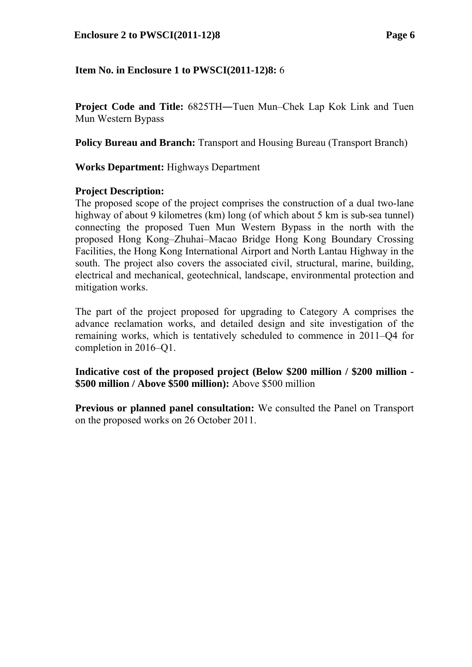**Project Code and Title:** 6825TH―Tuen Mun–Chek Lap Kok Link and Tuen Mun Western Bypass

**Policy Bureau and Branch:** Transport and Housing Bureau (Transport Branch)

**Works Department:** Highways Department

# **Project Description:**

The proposed scope of the project comprises the construction of a dual two-lane highway of about 9 kilometres (km) long (of which about 5 km is sub-sea tunnel) connecting the proposed Tuen Mun Western Bypass in the north with the proposed Hong Kong–Zhuhai–Macao Bridge Hong Kong Boundary Crossing Facilities, the Hong Kong International Airport and North Lantau Highway in the south. The project also covers the associated civil, structural, marine, building, electrical and mechanical, geotechnical, landscape, environmental protection and mitigation works.

The part of the project proposed for upgrading to Category A comprises the advance reclamation works, and detailed design and site investigation of the remaining works, which is tentatively scheduled to commence in 2011–Q4 for completion in 2016–Q1.

**Indicative cost of the proposed project (Below \$200 million / \$200 million - \$500 million / Above \$500 million):** Above \$500 million

**Previous or planned panel consultation:** We consulted the Panel on Transport on the proposed works on 26 October 2011.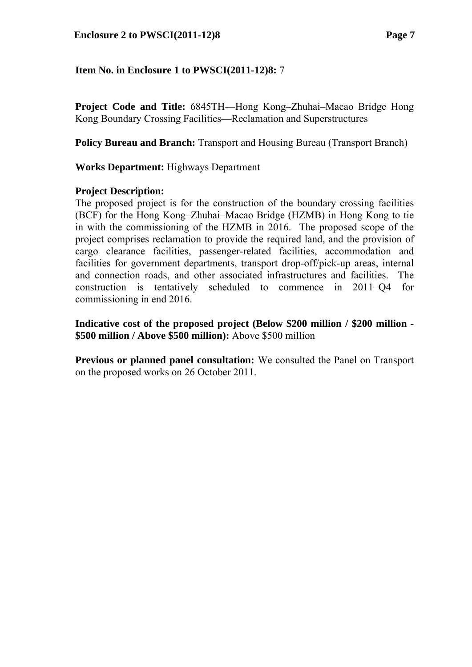**Project Code and Title:** 6845TH―Hong Kong–Zhuhai–Macao Bridge Hong Kong Boundary Crossing Facilities—Reclamation and Superstructures

**Policy Bureau and Branch:** Transport and Housing Bureau (Transport Branch)

### **Works Department:** Highways Department

### **Project Description:**

The proposed project is for the construction of the boundary crossing facilities (BCF) for the Hong Kong–Zhuhai–Macao Bridge (HZMB) in Hong Kong to tie in with the commissioning of the HZMB in 2016. The proposed scope of the project comprises reclamation to provide the required land, and the provision of cargo clearance facilities, passenger-related facilities, accommodation and facilities for government departments, transport drop-off/pick-up areas, internal and connection roads, and other associated infrastructures and facilities. The construction is tentatively scheduled to commence in 2011–Q4 for commissioning in end 2016.

**Indicative cost of the proposed project (Below \$200 million / \$200 million - \$500 million / Above \$500 million):** Above \$500 million

**Previous or planned panel consultation:** We consulted the Panel on Transport on the proposed works on 26 October 2011.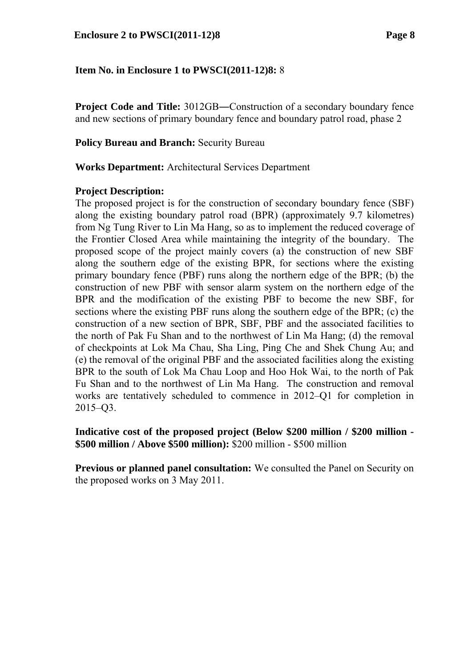**Project Code and Title:** 3012GB—Construction of a secondary boundary fence and new sections of primary boundary fence and boundary patrol road, phase 2

### **Policy Bureau and Branch: Security Bureau**

**Works Department:** Architectural Services Department

### **Project Description:**

The proposed project is for the construction of secondary boundary fence (SBF) along the existing boundary patrol road (BPR) (approximately 9.7 kilometres) from Ng Tung River to Lin Ma Hang, so as to implement the reduced coverage of the Frontier Closed Area while maintaining the integrity of the boundary. The proposed scope of the project mainly covers (a) the construction of new SBF along the southern edge of the existing BPR, for sections where the existing primary boundary fence (PBF) runs along the northern edge of the BPR; (b) the construction of new PBF with sensor alarm system on the northern edge of the BPR and the modification of the existing PBF to become the new SBF, for sections where the existing PBF runs along the southern edge of the BPR; (c) the construction of a new section of BPR, SBF, PBF and the associated facilities to the north of Pak Fu Shan and to the northwest of Lin Ma Hang; (d) the removal of checkpoints at Lok Ma Chau, Sha Ling, Ping Che and Shek Chung Au; and (e) the removal of the original PBF and the associated facilities along the existing BPR to the south of Lok Ma Chau Loop and Hoo Hok Wai, to the north of Pak Fu Shan and to the northwest of Lin Ma Hang. The construction and removal works are tentatively scheduled to commence in 2012–Q1 for completion in 2015–Q3.

### **Indicative cost of the proposed project (Below \$200 million / \$200 million - \$500 million / Above \$500 million):** \$200 million - \$500 million

**Previous or planned panel consultation:** We consulted the Panel on Security on the proposed works on 3 May 2011.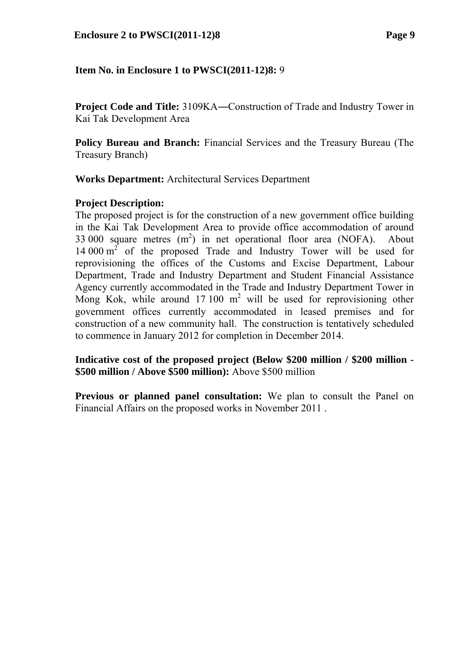**Project Code and Title:** 3109KA―Construction of Trade and Industry Tower in Kai Tak Development Area

**Policy Bureau and Branch:** Financial Services and the Treasury Bureau (The Treasury Branch)

**Works Department:** Architectural Services Department

# **Project Description:**

The proposed project is for the construction of a new government office building in the Kai Tak Development Area to provide office accommodation of around 33 000 square metres  $(m^2)$  in net operational floor area (NOFA). About 14 000  $m^2$  of the proposed Trade and Industry Tower will be used for reprovisioning the offices of the Customs and Excise Department, Labour Department, Trade and Industry Department and Student Financial Assistance Agency currently accommodated in the Trade and Industry Department Tower in Mong Kok, while around  $17 100 \text{ m}^2$  will be used for reprovisioning other government offices currently accommodated in leased premises and for construction of a new community hall. The construction is tentatively scheduled to commence in January 2012 for completion in December 2014.

**Indicative cost of the proposed project (Below \$200 million / \$200 million - \$500 million / Above \$500 million):** Above \$500 million

**Previous or planned panel consultation:** We plan to consult the Panel on Financial Affairs on the proposed works in November 2011 .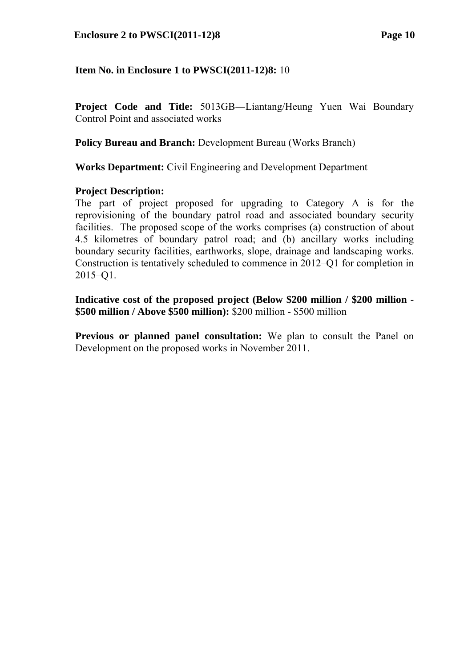#### **Enclosure 2 to PWSCI(2011-12)8 Page 10**

### **Item No. in Enclosure 1 to PWSCI(2011-12)8:** 10

**Project Code and Title:** 5013GB―Liantang/Heung Yuen Wai Boundary Control Point and associated works

**Policy Bureau and Branch:** Development Bureau (Works Branch)

**Works Department:** Civil Engineering and Development Department

#### **Project Description:**

The part of project proposed for upgrading to Category A is for the reprovisioning of the boundary patrol road and associated boundary security facilities. The proposed scope of the works comprises (a) construction of about 4.5 kilometres of boundary patrol road; and (b) ancillary works including boundary security facilities, earthworks, slope, drainage and landscaping works. Construction is tentatively scheduled to commence in 2012–Q1 for completion in 2015–Q1.

**Indicative cost of the proposed project (Below \$200 million / \$200 million - \$500 million / Above \$500 million):** \$200 million - \$500 million

**Previous or planned panel consultation:** We plan to consult the Panel on Development on the proposed works in November 2011.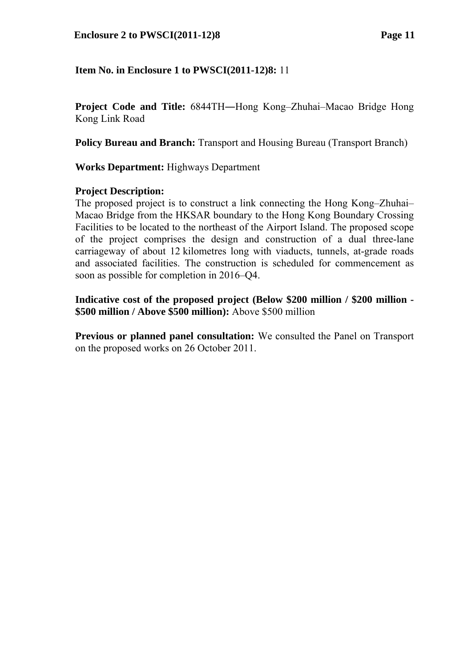**Project Code and Title:** 6844TH―Hong Kong–Zhuhai–Macao Bridge Hong Kong Link Road

**Policy Bureau and Branch:** Transport and Housing Bureau (Transport Branch)

**Works Department:** Highways Department

### **Project Description:**

The proposed project is to construct a link connecting the Hong Kong–Zhuhai– Macao Bridge from the HKSAR boundary to the Hong Kong Boundary Crossing Facilities to be located to the northeast of the Airport Island. The proposed scope of the project comprises the design and construction of a dual three-lane carriageway of about 12 kilometres long with viaducts, tunnels, at-grade roads and associated facilities. The construction is scheduled for commencement as soon as possible for completion in 2016–Q4.

**Indicative cost of the proposed project (Below \$200 million / \$200 million - \$500 million / Above \$500 million):** Above \$500 million

**Previous or planned panel consultation:** We consulted the Panel on Transport on the proposed works on 26 October 2011.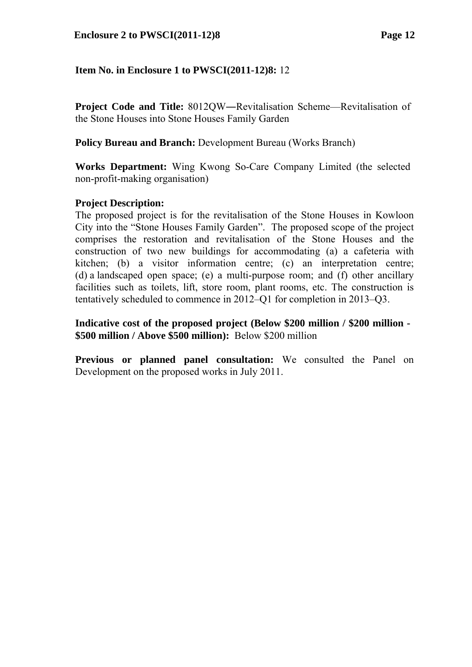**Project Code and Title:** 8012QW―Revitalisation Scheme—Revitalisation of the Stone Houses into Stone Houses Family Garden

**Policy Bureau and Branch:** Development Bureau (Works Branch)

**Works Department:** Wing Kwong So-Care Company Limited (the selected non-profit-making organisation)

### **Project Description:**

The proposed project is for the revitalisation of the Stone Houses in Kowloon City into the "Stone Houses Family Garden". The proposed scope of the project comprises the restoration and revitalisation of the Stone Houses and the construction of two new buildings for accommodating (a) a cafeteria with kitchen; (b) a visitor information centre; (c) an interpretation centre; (d) a landscaped open space; (e) a multi-purpose room; and (f) other ancillary facilities such as toilets, lift, store room, plant rooms, etc. The construction is tentatively scheduled to commence in 2012–Q1 for completion in 2013–Q3.

**Indicative cost of the proposed project (Below \$200 million / \$200 million - \$500 million / Above \$500 million):** Below \$200 million

**Previous or planned panel consultation:** We consulted the Panel on Development on the proposed works in July 2011.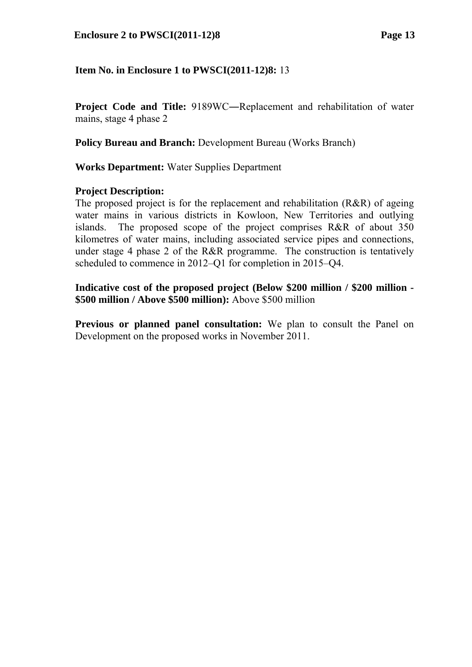#### **Enclosure 2 to PWSCI(2011-12)8 Page 13**

### **Item No. in Enclosure 1 to PWSCI(2011-12)8:** 13

**Project Code and Title:** 9189WC―Replacement and rehabilitation of water mains, stage 4 phase 2

**Policy Bureau and Branch:** Development Bureau (Works Branch)

**Works Department:** Water Supplies Department

#### **Project Description:**

The proposed project is for the replacement and rehabilitation (R&R) of ageing water mains in various districts in Kowloon, New Territories and outlying islands. The proposed scope of the project comprises R&R of about 350 kilometres of water mains, including associated service pipes and connections, under stage 4 phase 2 of the R&R programme. The construction is tentatively scheduled to commence in 2012–Q1 for completion in 2015–Q4.

**Indicative cost of the proposed project (Below \$200 million / \$200 million - \$500 million / Above \$500 million):** Above \$500 million

**Previous or planned panel consultation:** We plan to consult the Panel on Development on the proposed works in November 2011.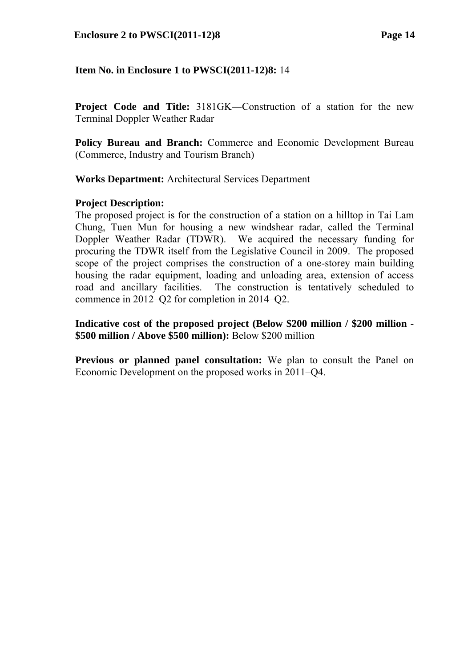**Project Code and Title:** 3181GK—Construction of a station for the new Terminal Doppler Weather Radar

**Policy Bureau and Branch:** Commerce and Economic Development Bureau (Commerce, Industry and Tourism Branch)

**Works Department:** Architectural Services Department

### **Project Description:**

The proposed project is for the construction of a station on a hilltop in Tai Lam Chung, Tuen Mun for housing a new windshear radar, called the Terminal Doppler Weather Radar (TDWR). We acquired the necessary funding for procuring the TDWR itself from the Legislative Council in 2009. The proposed scope of the project comprises the construction of a one-storey main building housing the radar equipment, loading and unloading area, extension of access road and ancillary facilities. The construction is tentatively scheduled to commence in 2012–Q2 for completion in 2014–Q2.

**Indicative cost of the proposed project (Below \$200 million / \$200 million - \$500 million / Above \$500 million):** Below \$200 million

**Previous or planned panel consultation:** We plan to consult the Panel on Economic Development on the proposed works in 2011–Q4.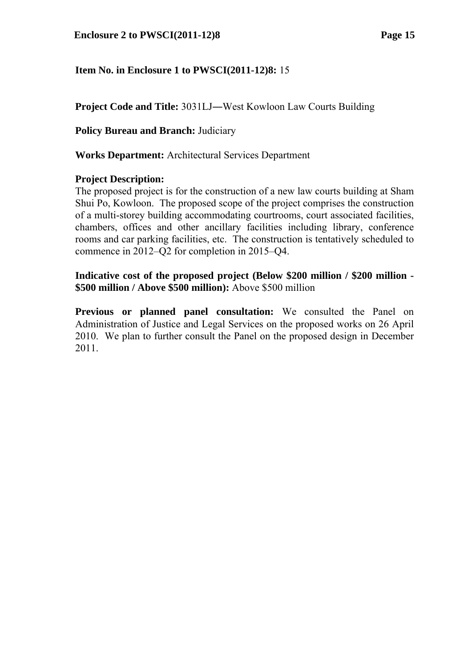**Project Code and Title:** 3031LJ―West Kowloon Law Courts Building

**Policy Bureau and Branch: Judiciary** 

**Works Department:** Architectural Services Department

### **Project Description:**

The proposed project is for the construction of a new law courts building at Sham Shui Po, Kowloon. The proposed scope of the project comprises the construction of a multi-storey building accommodating courtrooms, court associated facilities, chambers, offices and other ancillary facilities including library, conference rooms and car parking facilities, etc. The construction is tentatively scheduled to commence in 2012–Q2 for completion in 2015–Q4.

**Indicative cost of the proposed project (Below \$200 million / \$200 million - \$500 million / Above \$500 million):** Above \$500 million

**Previous or planned panel consultation:** We consulted the Panel on Administration of Justice and Legal Services on the proposed works on 26 April 2010. We plan to further consult the Panel on the proposed design in December 2011.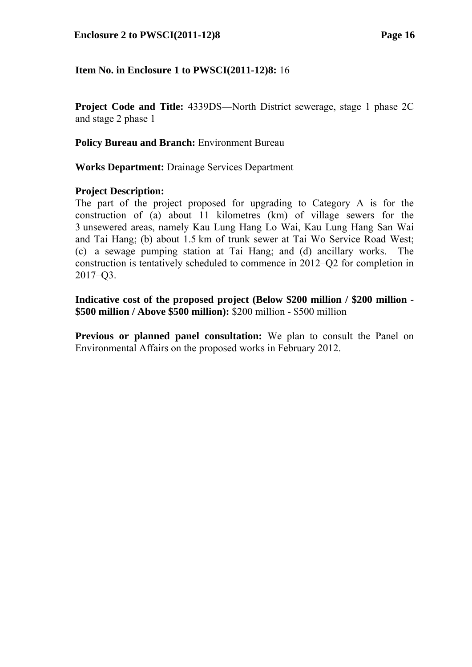#### **Enclosure 2 to PWSCI(2011-12)8 Page 16**

### **Item No. in Enclosure 1 to PWSCI(2011-12)8:** 16

**Project Code and Title:** 4339DS―North District sewerage, stage 1 phase 2C and stage 2 phase 1

**Policy Bureau and Branch:** Environment Bureau

**Works Department:** Drainage Services Department

#### **Project Description:**

The part of the project proposed for upgrading to Category A is for the construction of (a) about 11 kilometres (km) of village sewers for the 3 unsewered areas, namely Kau Lung Hang Lo Wai, Kau Lung Hang San Wai and Tai Hang; (b) about 1.5 km of trunk sewer at Tai Wo Service Road West; (c) a sewage pumping station at Tai Hang; and (d) ancillary works. The construction is tentatively scheduled to commence in 2012–Q2 for completion in 2017–Q3.

**Indicative cost of the proposed project (Below \$200 million / \$200 million - \$500 million / Above \$500 million):** \$200 million - \$500 million

**Previous or planned panel consultation:** We plan to consult the Panel on Environmental Affairs on the proposed works in February 2012.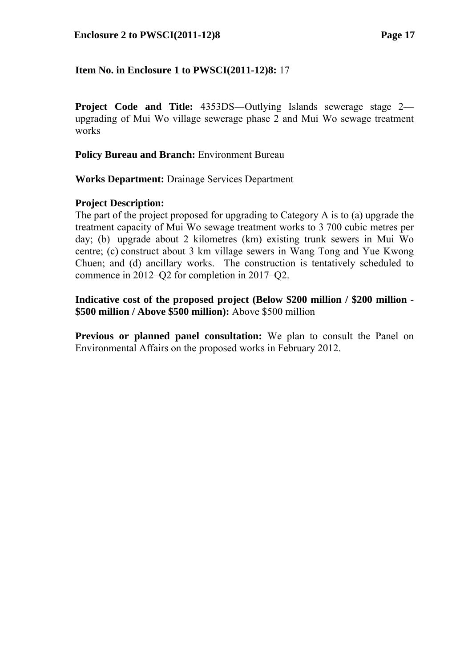**Project Code and Title:**  $4353DS$ —Outlying Islands sewerage stage 2 upgrading of Mui Wo village sewerage phase 2 and Mui Wo sewage treatment works

**Policy Bureau and Branch:** Environment Bureau

**Works Department:** Drainage Services Department

# **Project Description:**

The part of the project proposed for upgrading to Category A is to (a) upgrade the treatment capacity of Mui Wo sewage treatment works to 3 700 cubic metres per day; (b) upgrade about 2 kilometres (km) existing trunk sewers in Mui Wo centre; (c) construct about 3 km village sewers in Wang Tong and Yue Kwong Chuen; and (d) ancillary works. The construction is tentatively scheduled to commence in 2012–Q2 for completion in 2017–Q2.

**Indicative cost of the proposed project (Below \$200 million / \$200 million - \$500 million / Above \$500 million):** Above \$500 million

**Previous or planned panel consultation:** We plan to consult the Panel on Environmental Affairs on the proposed works in February 2012.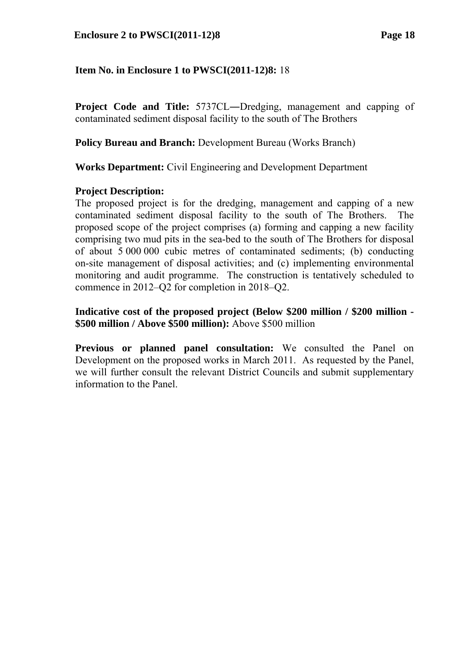#### **Enclosure 2 to PWSCI(2011-12)8 Page 18**

### **Item No. in Enclosure 1 to PWSCI(2011-12)8:** 18

**Project Code and Title:** 5737CL―Dredging, management and capping of contaminated sediment disposal facility to the south of The Brothers

**Policy Bureau and Branch:** Development Bureau (Works Branch)

**Works Department:** Civil Engineering and Development Department

### **Project Description:**

The proposed project is for the dredging, management and capping of a new contaminated sediment disposal facility to the south of The Brothers. The proposed scope of the project comprises (a) forming and capping a new facility comprising two mud pits in the sea-bed to the south of The Brothers for disposal of about 5 000 000 cubic metres of contaminated sediments; (b) conducting on-site management of disposal activities; and (c) implementing environmental monitoring and audit programme. The construction is tentatively scheduled to commence in 2012–Q2 for completion in 2018–Q2.

**Indicative cost of the proposed project (Below \$200 million / \$200 million - \$500 million / Above \$500 million):** Above \$500 million

**Previous or planned panel consultation:** We consulted the Panel on Development on the proposed works in March 2011. As requested by the Panel, we will further consult the relevant District Councils and submit supplementary information to the Panel.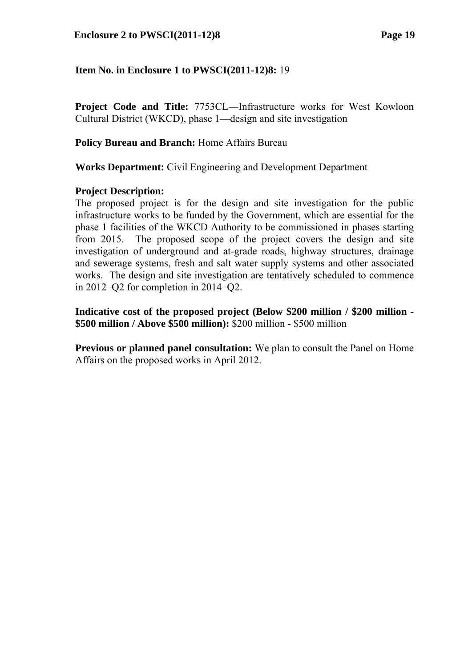**Project Code and Title:** 7753CL—Infrastructure works for West Kowloon Cultural District (WKCD), phase 1—design and site investigation

# **Policy Bureau and Branch:** Home Affairs Bureau

**Works Department:** Civil Engineering and Development Department

### **Project Description:**

The proposed project is for the design and site investigation for the public infrastructure works to be funded by the Government, which are essential for the phase 1 facilities of the WKCD Authority to be commissioned in phases starting from 2015. The proposed scope of the project covers the design and site investigation of underground and at-grade roads, highway structures, drainage and sewerage systems, fresh and salt water supply systems and other associated works. The design and site investigation are tentatively scheduled to commence in 2012–Q2 for completion in 2014–Q2.

**Indicative cost of the proposed project (Below \$200 million / \$200 million - \$500 million / Above \$500 million):** \$200 million - \$500 million

**Previous or planned panel consultation:** We plan to consult the Panel on Home Affairs on the proposed works in April 2012.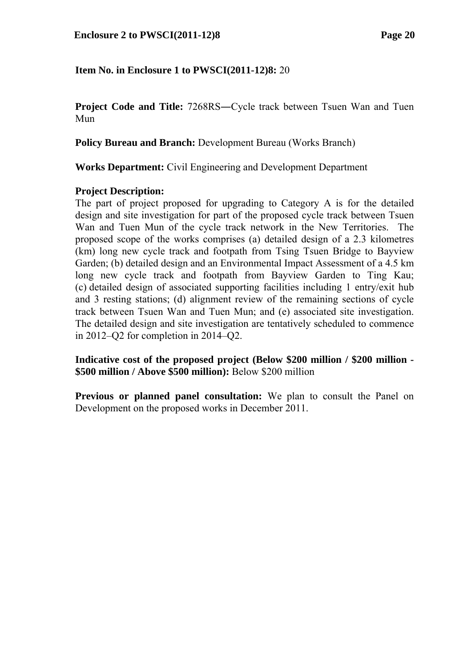**Project Code and Title:** 7268RS—Cycle track between Tsuen Wan and Tuen Mun

**Policy Bureau and Branch:** Development Bureau (Works Branch)

**Works Department:** Civil Engineering and Development Department

### **Project Description:**

The part of project proposed for upgrading to Category A is for the detailed design and site investigation for part of the proposed cycle track between Tsuen Wan and Tuen Mun of the cycle track network in the New Territories. The proposed scope of the works comprises (a) detailed design of a 2.3 kilometres (km) long new cycle track and footpath from Tsing Tsuen Bridge to Bayview Garden; (b) detailed design and an Environmental Impact Assessment of a 4.5 km long new cycle track and footpath from Bayview Garden to Ting Kau; (c) detailed design of associated supporting facilities including 1 entry/exit hub and 3 resting stations; (d) alignment review of the remaining sections of cycle track between Tsuen Wan and Tuen Mun; and (e) associated site investigation. The detailed design and site investigation are tentatively scheduled to commence in 2012–Q2 for completion in 2014–Q2.

**Indicative cost of the proposed project (Below \$200 million / \$200 million - \$500 million / Above \$500 million):** Below \$200 million

**Previous or planned panel consultation:** We plan to consult the Panel on Development on the proposed works in December 2011.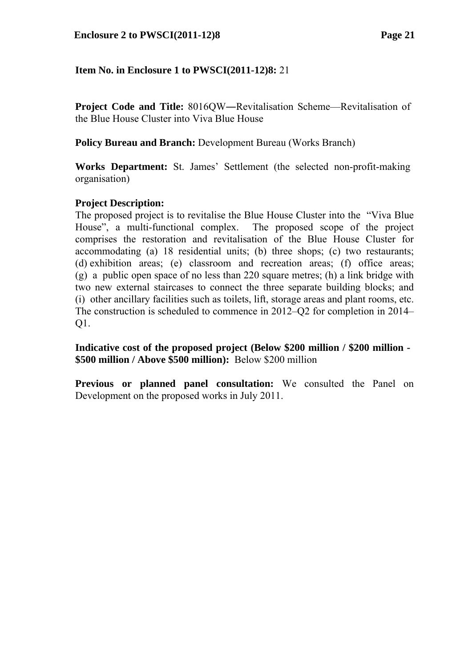**Project Code and Title:** 8016QW―Revitalisation Scheme—Revitalisation of the Blue House Cluster into Viva Blue House

**Policy Bureau and Branch:** Development Bureau (Works Branch)

**Works Department:** St. James' Settlement (the selected non-profit-making organisation)

# **Project Description:**

The proposed project is to revitalise the Blue House Cluster into the "Viva Blue House", a multi-functional complex. The proposed scope of the project comprises the restoration and revitalisation of the Blue House Cluster for accommodating (a) 18 residential units; (b) three shops; (c) two restaurants; (d) exhibition areas; (e) classroom and recreation areas; (f) office areas; (g) a public open space of no less than 220 square metres; (h) a link bridge with two new external staircases to connect the three separate building blocks; and (i) other ancillary facilities such as toilets, lift, storage areas and plant rooms, etc. The construction is scheduled to commence in 2012–Q2 for completion in 2014– Q1.

**Indicative cost of the proposed project (Below \$200 million / \$200 million - \$500 million / Above \$500 million):** Below \$200 million

**Previous or planned panel consultation:** We consulted the Panel on Development on the proposed works in July 2011.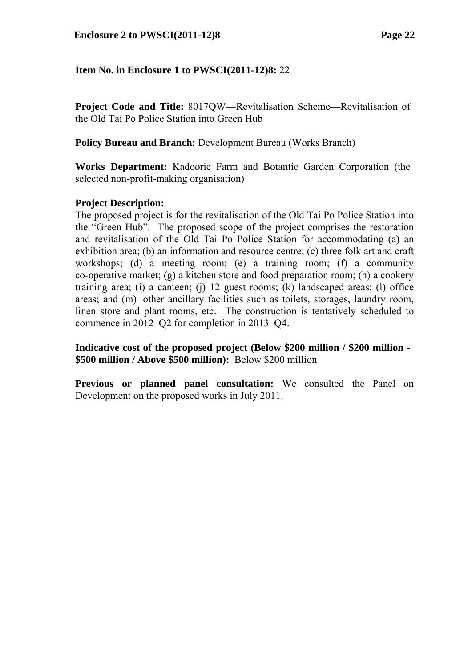**Project Code and Title:** 8017QW―Revitalisation Scheme—Revitalisation of the Old Tai Po Police Station into Green Hub

**Policy Bureau and Branch:** Development Bureau (Works Branch)

**Works Department:** Kadoorie Farm and Botantic Garden Corporation (the selected non-profit-making organisation)

### **Project Description:**

The proposed project is for the revitalisation of the Old Tai Po Police Station into the "Green Hub". The proposed scope of the project comprises the restoration and revitalisation of the Old Tai Po Police Station for accommodating (a) an exhibition area; (b) an information and resource centre; (c) three folk art and craft workshops; (d) a meeting room; (e) a training room; (f) a community co-operative market; (g) a kitchen store and food preparation room; (h) a cookery training area; (i) a canteen; (j) 12 guest rooms; (k) landscaped areas; (l) office areas; and (m) other ancillary facilities such as toilets, storages, laundry room, linen store and plant rooms, etc. The construction is tentatively scheduled to commence in 2012–Q2 for completion in 2013–Q4.

**Indicative cost of the proposed project (Below \$200 million / \$200 million - \$500 million / Above \$500 million):** Below \$200 million

**Previous or planned panel consultation:** We consulted the Panel on Development on the proposed works in July 2011.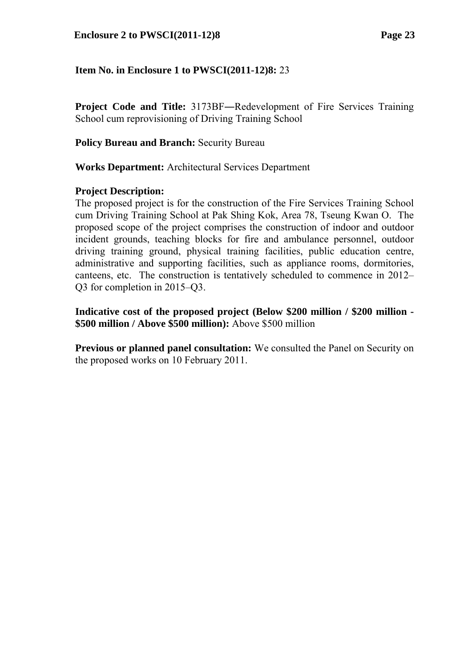**Project Code and Title:** 3173BF―Redevelopment of Fire Services Training School cum reprovisioning of Driving Training School

### **Policy Bureau and Branch: Security Bureau**

**Works Department:** Architectural Services Department

### **Project Description:**

The proposed project is for the construction of the Fire Services Training School cum Driving Training School at Pak Shing Kok, Area 78, Tseung Kwan O. The proposed scope of the project comprises the construction of indoor and outdoor incident grounds, teaching blocks for fire and ambulance personnel, outdoor driving training ground, physical training facilities, public education centre, administrative and supporting facilities, such as appliance rooms, dormitories, canteens, etc. The construction is tentatively scheduled to commence in 2012– Q3 for completion in 2015–Q3.

**Indicative cost of the proposed project (Below \$200 million / \$200 million - \$500 million / Above \$500 million):** Above \$500 million

**Previous or planned panel consultation:** We consulted the Panel on Security on the proposed works on 10 February 2011.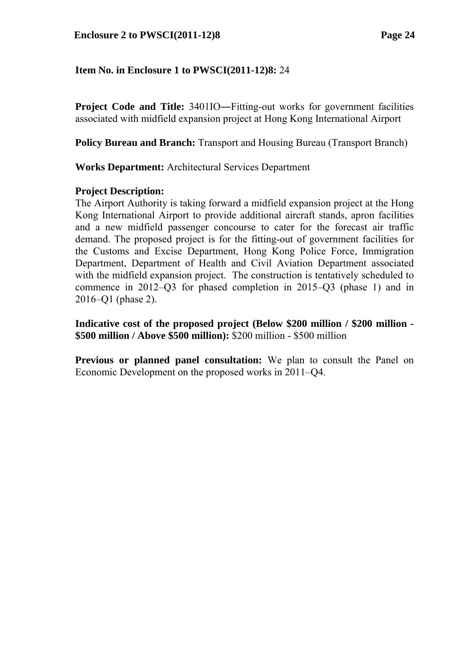**Project Code and Title:** 3401IO―Fitting-out works for government facilities associated with midfield expansion project at Hong Kong International Airport

**Policy Bureau and Branch:** Transport and Housing Bureau (Transport Branch)

**Works Department:** Architectural Services Department

### **Project Description:**

The Airport Authority is taking forward a midfield expansion project at the Hong Kong International Airport to provide additional aircraft stands, apron facilities and a new midfield passenger concourse to cater for the forecast air traffic demand. The proposed project is for the fitting-out of government facilities for the Customs and Excise Department, Hong Kong Police Force, Immigration Department, Department of Health and Civil Aviation Department associated with the midfield expansion project. The construction is tentatively scheduled to commence in 2012–Q3 for phased completion in 2015–Q3 (phase 1) and in 2016–Q1 (phase 2).

**Indicative cost of the proposed project (Below \$200 million / \$200 million - \$500 million / Above \$500 million):** \$200 million - \$500 million

**Previous or planned panel consultation:** We plan to consult the Panel on Economic Development on the proposed works in 2011–Q4.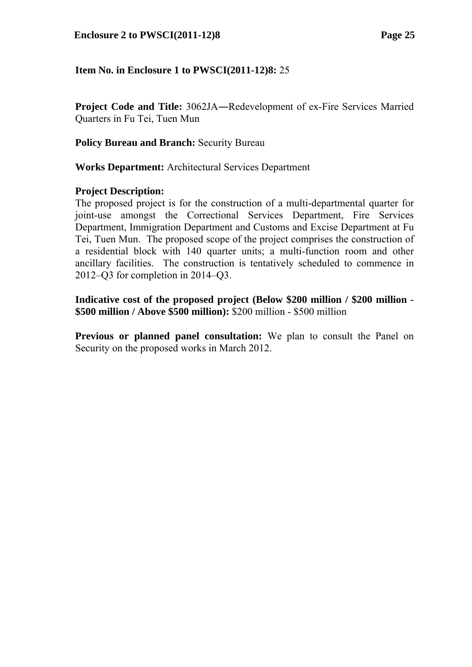**Project Code and Title:** 3062JA―Redevelopment of ex-Fire Services Married Quarters in Fu Tei, Tuen Mun

**Policy Bureau and Branch: Security Bureau** 

**Works Department:** Architectural Services Department

### **Project Description:**

The proposed project is for the construction of a multi-departmental quarter for joint-use amongst the Correctional Services Department, Fire Services Department, Immigration Department and Customs and Excise Department at Fu Tei, Tuen Mun. The proposed scope of the project comprises the construction of a residential block with 140 quarter units; a multi-function room and other ancillary facilities. The construction is tentatively scheduled to commence in 2012–Q3 for completion in 2014–Q3.

**Indicative cost of the proposed project (Below \$200 million / \$200 million - \$500 million / Above \$500 million):** \$200 million - \$500 million

**Previous or planned panel consultation:** We plan to consult the Panel on Security on the proposed works in March 2012.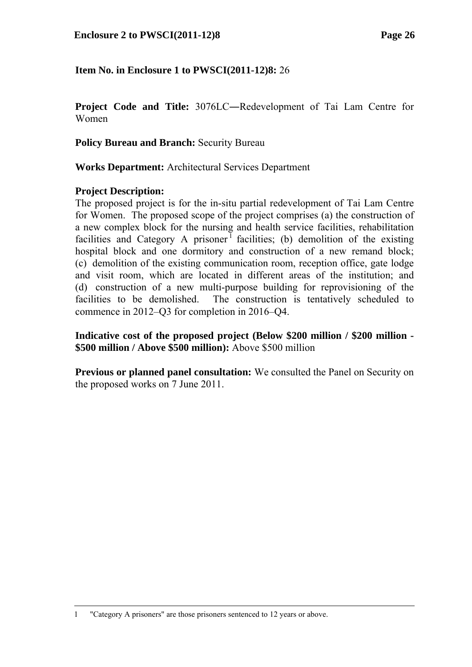**Project Code and Title:** 3076LC―Redevelopment of Tai Lam Centre for Women

**Policy Bureau and Branch: Security Bureau** 

**Works Department:** Architectural Services Department

### **Project Description:**

-

The proposed project is for the in-situ partial redevelopment of Tai Lam Centre for Women. The proposed scope of the project comprises (a) the construction of a new complex block for the nursing and health service facilities, rehabilitation facilities and Category A prisoner<sup>1</sup> facilities; (b) demolition of the existing hospital block and one dormitory and construction of a new remand block; (c) demolition of the existing communication room, reception office, gate lodge and visit room, which are located in different areas of the institution; and (d) construction of a new multi-purpose building for reprovisioning of the facilities to be demolished. The construction is tentatively scheduled to commence in 2012–Q3 for completion in 2016–Q4.

**Indicative cost of the proposed project (Below \$200 million / \$200 million - \$500 million / Above \$500 million):** Above \$500 million

**Previous or planned panel consultation:** We consulted the Panel on Security on the proposed works on 7 June 2011.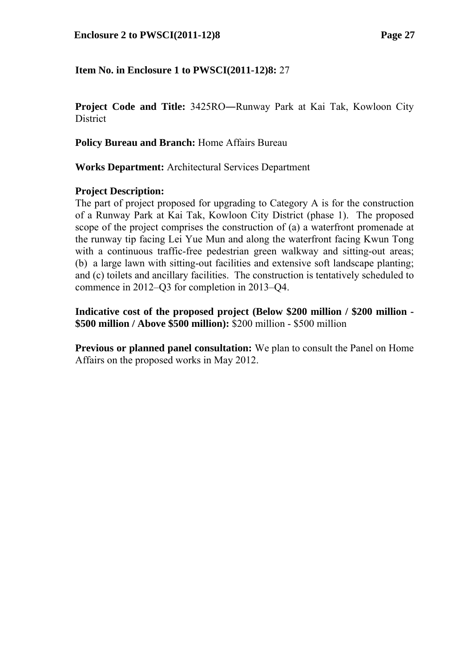**Project Code and Title:** 3425RO―Runway Park at Kai Tak, Kowloon City **District** 

**Policy Bureau and Branch:** Home Affairs Bureau

**Works Department:** Architectural Services Department

### **Project Description:**

The part of project proposed for upgrading to Category A is for the construction of a Runway Park at Kai Tak, Kowloon City District (phase 1). The proposed scope of the project comprises the construction of (a) a waterfront promenade at the runway tip facing Lei Yue Mun and along the waterfront facing Kwun Tong with a continuous traffic-free pedestrian green walkway and sitting-out areas; (b) a large lawn with sitting-out facilities and extensive soft landscape planting; and (c) toilets and ancillary facilities. The construction is tentatively scheduled to commence in 2012–Q3 for completion in 2013–Q4.

**Indicative cost of the proposed project (Below \$200 million / \$200 million - \$500 million / Above \$500 million):** \$200 million - \$500 million

**Previous or planned panel consultation:** We plan to consult the Panel on Home Affairs on the proposed works in May 2012.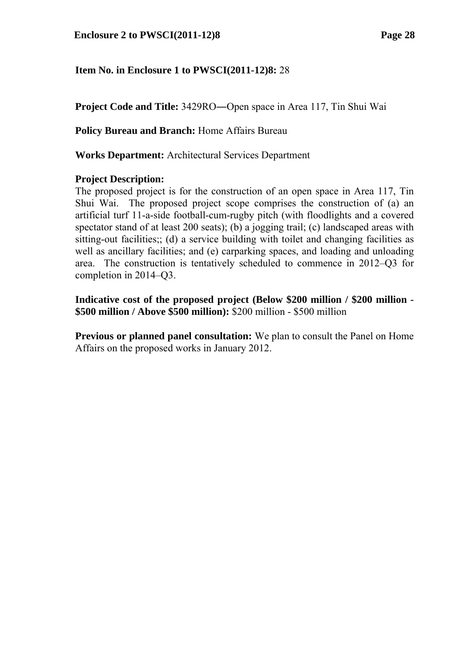**Project Code and Title:** 3429RO―Open space in Area 117, Tin Shui Wai

**Policy Bureau and Branch:** Home Affairs Bureau

**Works Department:** Architectural Services Department

### **Project Description:**

The proposed project is for the construction of an open space in Area 117, Tin Shui Wai. The proposed project scope comprises the construction of (a) an artificial turf 11-a-side football-cum-rugby pitch (with floodlights and a covered spectator stand of at least 200 seats); (b) a jogging trail; (c) landscaped areas with sitting-out facilities;; (d) a service building with toilet and changing facilities as well as ancillary facilities; and (e) carparking spaces, and loading and unloading area. The construction is tentatively scheduled to commence in 2012–Q3 for completion in 2014–Q3.

**Indicative cost of the proposed project (Below \$200 million / \$200 million - \$500 million / Above \$500 million):** \$200 million - \$500 million

**Previous or planned panel consultation:** We plan to consult the Panel on Home Affairs on the proposed works in January 2012.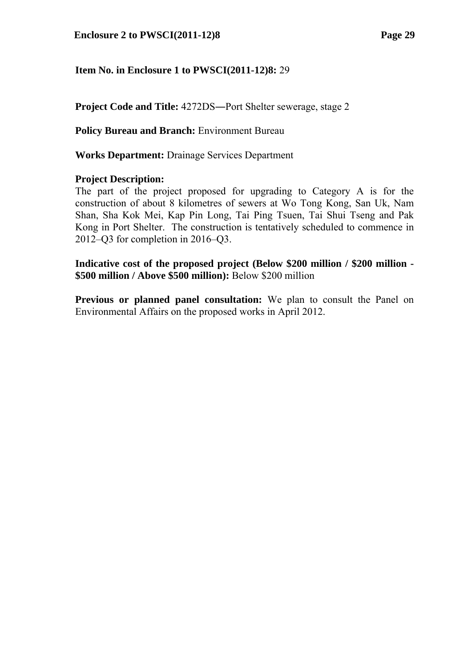**Project Code and Title:** 4272DS―Port Shelter sewerage, stage 2

**Policy Bureau and Branch:** Environment Bureau

**Works Department:** Drainage Services Department

### **Project Description:**

The part of the project proposed for upgrading to Category A is for the construction of about 8 kilometres of sewers at Wo Tong Kong, San Uk, Nam Shan, Sha Kok Mei, Kap Pin Long, Tai Ping Tsuen, Tai Shui Tseng and Pak Kong in Port Shelter. The construction is tentatively scheduled to commence in 2012–Q3 for completion in 2016–Q3.

**Indicative cost of the proposed project (Below \$200 million / \$200 million - \$500 million / Above \$500 million):** Below \$200 million

**Previous or planned panel consultation:** We plan to consult the Panel on Environmental Affairs on the proposed works in April 2012.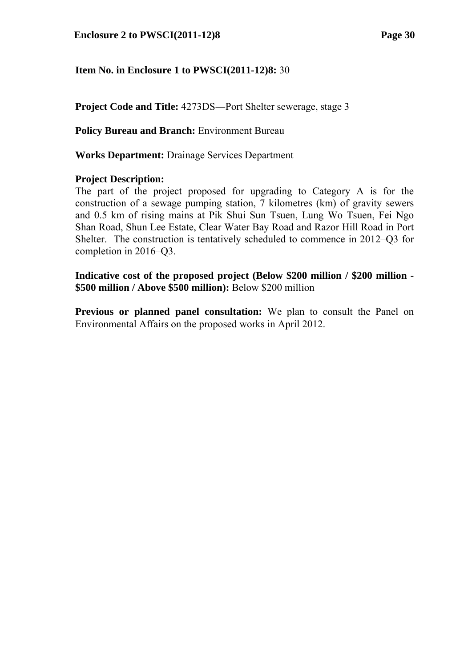**Project Code and Title:** 4273DS―Port Shelter sewerage, stage 3

**Policy Bureau and Branch:** Environment Bureau

**Works Department:** Drainage Services Department

### **Project Description:**

The part of the project proposed for upgrading to Category A is for the construction of a sewage pumping station, 7 kilometres (km) of gravity sewers and 0.5 km of rising mains at Pik Shui Sun Tsuen, Lung Wo Tsuen, Fei Ngo Shan Road, Shun Lee Estate, Clear Water Bay Road and Razor Hill Road in Port Shelter. The construction is tentatively scheduled to commence in 2012–Q3 for completion in 2016–Q3.

**Indicative cost of the proposed project (Below \$200 million / \$200 million - \$500 million / Above \$500 million):** Below \$200 million

**Previous or planned panel consultation:** We plan to consult the Panel on Environmental Affairs on the proposed works in April 2012.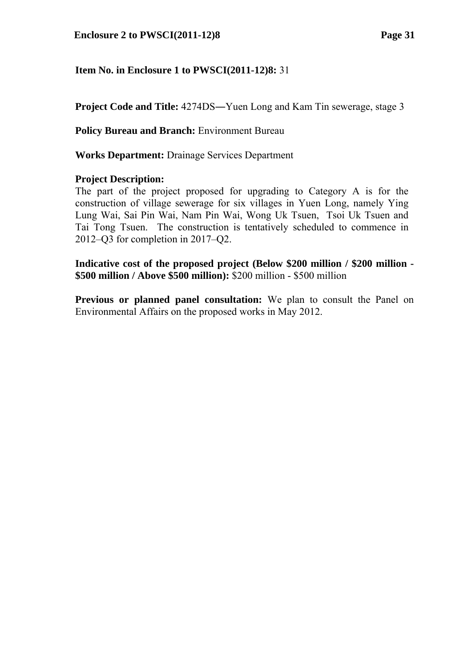**Project Code and Title:** 4274DS―Yuen Long and Kam Tin sewerage, stage 3

**Policy Bureau and Branch:** Environment Bureau

**Works Department:** Drainage Services Department

### **Project Description:**

The part of the project proposed for upgrading to Category A is for the construction of village sewerage for six villages in Yuen Long, namely Ying Lung Wai, Sai Pin Wai, Nam Pin Wai, Wong Uk Tsuen, Tsoi Uk Tsuen and Tai Tong Tsuen. The construction is tentatively scheduled to commence in 2012–Q3 for completion in 2017–Q2.

**Indicative cost of the proposed project (Below \$200 million / \$200 million - \$500 million / Above \$500 million):** \$200 million - \$500 million

**Previous or planned panel consultation:** We plan to consult the Panel on Environmental Affairs on the proposed works in May 2012.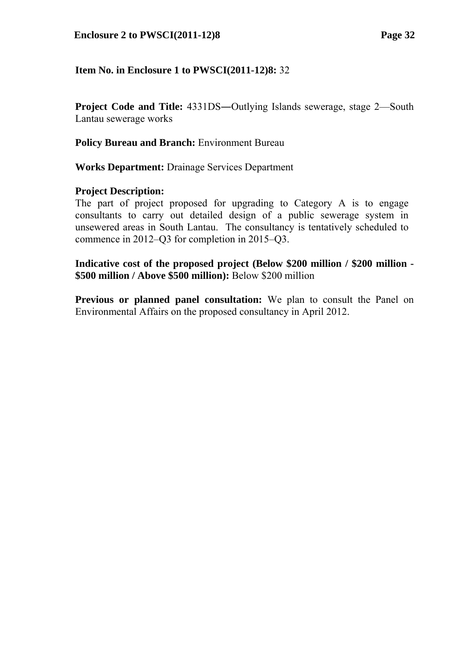#### **Enclosure 2 to PWSCI(2011-12)8 Page 32**

### **Item No. in Enclosure 1 to PWSCI(2011-12)8:** 32

**Project Code and Title:**  $4331DS$ —Outlying Islands sewerage, stage 2—South Lantau sewerage works

**Policy Bureau and Branch:** Environment Bureau

**Works Department:** Drainage Services Department

#### **Project Description:**

The part of project proposed for upgrading to Category A is to engage consultants to carry out detailed design of a public sewerage system in unsewered areas in South Lantau. The consultancy is tentatively scheduled to commence in 2012–Q3 for completion in 2015–Q3.

**Indicative cost of the proposed project (Below \$200 million / \$200 million - \$500 million / Above \$500 million):** Below \$200 million

**Previous or planned panel consultation:** We plan to consult the Panel on Environmental Affairs on the proposed consultancy in April 2012.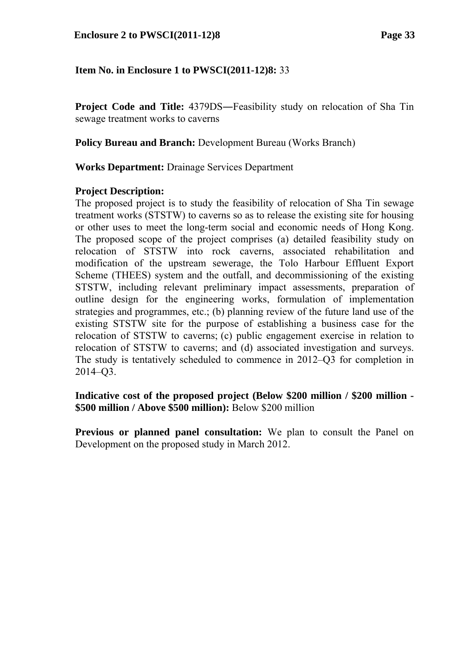**Project Code and Title:** 4379DS—Feasibility study on relocation of Sha Tin sewage treatment works to caverns

**Policy Bureau and Branch:** Development Bureau (Works Branch)

**Works Department:** Drainage Services Department

### **Project Description:**

The proposed project is to study the feasibility of relocation of Sha Tin sewage treatment works (STSTW) to caverns so as to release the existing site for housing or other uses to meet the long-term social and economic needs of Hong Kong. The proposed scope of the project comprises (a) detailed feasibility study on relocation of STSTW into rock caverns, associated rehabilitation and modification of the upstream sewerage, the Tolo Harbour Effluent Export Scheme (THEES) system and the outfall, and decommissioning of the existing STSTW, including relevant preliminary impact assessments, preparation of outline design for the engineering works, formulation of implementation strategies and programmes, etc.; (b) planning review of the future land use of the existing STSTW site for the purpose of establishing a business case for the relocation of STSTW to caverns; (c) public engagement exercise in relation to relocation of STSTW to caverns; and (d) associated investigation and surveys. The study is tentatively scheduled to commence in 2012–Q3 for completion in 2014–Q3.

**Indicative cost of the proposed project (Below \$200 million / \$200 million - \$500 million / Above \$500 million):** Below \$200 million

**Previous or planned panel consultation:** We plan to consult the Panel on Development on the proposed study in March 2012.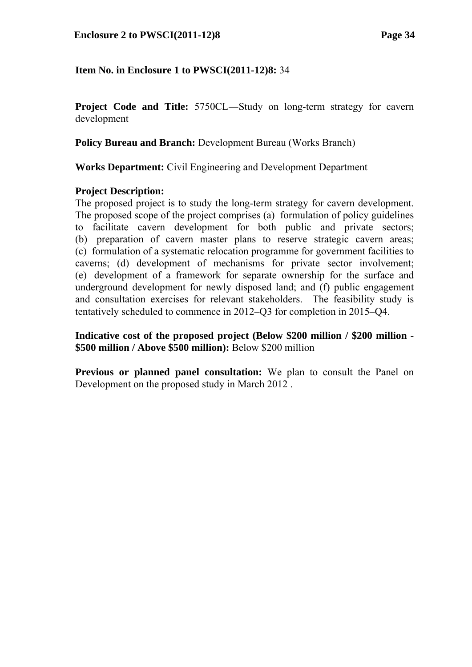#### **Enclosure 2 to PWSCI(2011-12)8 Page 34**

### **Item No. in Enclosure 1 to PWSCI(2011-12)8:** 34

**Project Code and Title:**  $5750CL - Study on long-term strategy for covern$ development

**Policy Bureau and Branch:** Development Bureau (Works Branch)

**Works Department:** Civil Engineering and Development Department

#### **Project Description:**

The proposed project is to study the long-term strategy for cavern development. The proposed scope of the project comprises (a) formulation of policy guidelines to facilitate cavern development for both public and private sectors; (b) preparation of cavern master plans to reserve strategic cavern areas; (c) formulation of a systematic relocation programme for government facilities to caverns; (d) development of mechanisms for private sector involvement; (e) development of a framework for separate ownership for the surface and underground development for newly disposed land; and (f) public engagement and consultation exercises for relevant stakeholders. The feasibility study is tentatively scheduled to commence in 2012–Q3 for completion in 2015–Q4.

**Indicative cost of the proposed project (Below \$200 million / \$200 million - \$500 million / Above \$500 million):** Below \$200 million

**Previous or planned panel consultation:** We plan to consult the Panel on Development on the proposed study in March 2012 .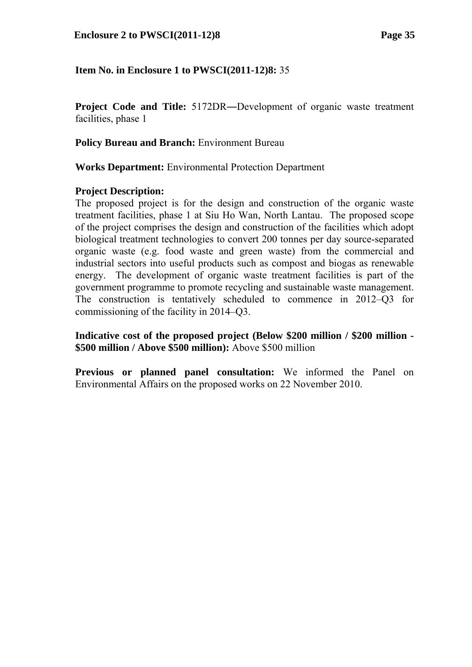**Project Code and Title:** 5172DR―Development of organic waste treatment facilities, phase 1

**Policy Bureau and Branch:** Environment Bureau

**Works Department:** Environmental Protection Department

### **Project Description:**

The proposed project is for the design and construction of the organic waste treatment facilities, phase 1 at Siu Ho Wan, North Lantau. The proposed scope of the project comprises the design and construction of the facilities which adopt biological treatment technologies to convert 200 tonnes per day source-separated organic waste (e.g. food waste and green waste) from the commercial and industrial sectors into useful products such as compost and biogas as renewable energy. The development of organic waste treatment facilities is part of the government programme to promote recycling and sustainable waste management. The construction is tentatively scheduled to commence in 2012–Q3 for commissioning of the facility in 2014–Q3.

**Indicative cost of the proposed project (Below \$200 million / \$200 million - \$500 million / Above \$500 million):** Above \$500 million

**Previous or planned panel consultation:** We informed the Panel on Environmental Affairs on the proposed works on 22 November 2010.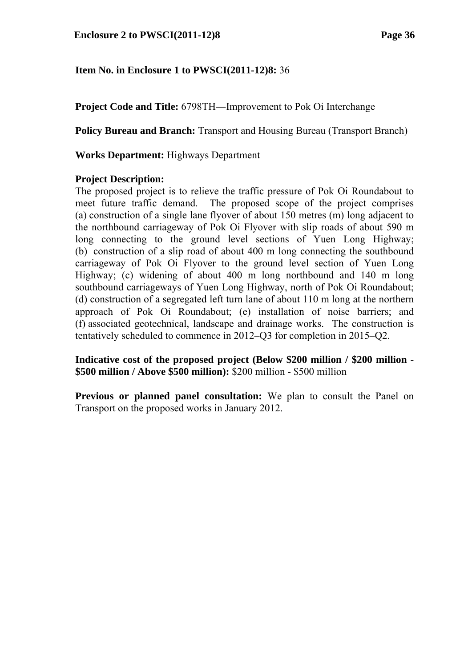**Project Code and Title:** 6798TH―Improvement to Pok Oi Interchange

**Policy Bureau and Branch:** Transport and Housing Bureau (Transport Branch)

**Works Department:** Highways Department

### **Project Description:**

The proposed project is to relieve the traffic pressure of Pok Oi Roundabout to meet future traffic demand. The proposed scope of the project comprises (a) construction of a single lane flyover of about 150 metres (m) long adjacent to the northbound carriageway of Pok Oi Flyover with slip roads of about 590 m long connecting to the ground level sections of Yuen Long Highway; (b) construction of a slip road of about 400 m long connecting the southbound carriageway of Pok Oi Flyover to the ground level section of Yuen Long Highway; (c) widening of about 400 m long northbound and 140 m long southbound carriageways of Yuen Long Highway, north of Pok Oi Roundabout; (d) construction of a segregated left turn lane of about 110 m long at the northern approach of Pok Oi Roundabout; (e) installation of noise barriers; and (f) associated geotechnical, landscape and drainage works. The construction is tentatively scheduled to commence in 2012–Q3 for completion in 2015–Q2.

**Indicative cost of the proposed project (Below \$200 million / \$200 million - \$500 million / Above \$500 million):** \$200 million - \$500 million

**Previous or planned panel consultation:** We plan to consult the Panel on Transport on the proposed works in January 2012.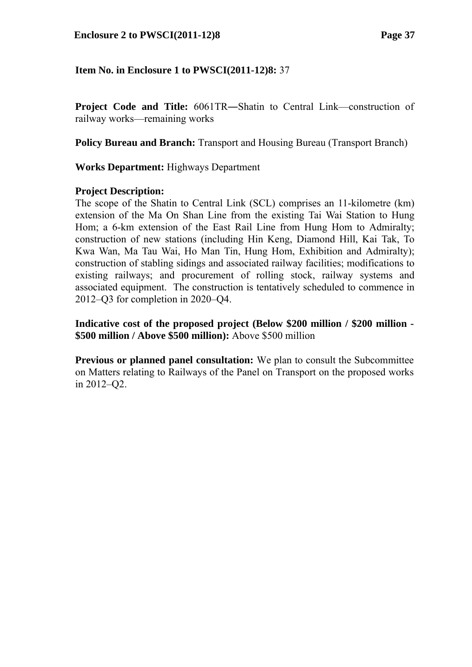**Project Code and Title:** 6061TR―Shatin to Central Link—construction of railway works—remaining works

**Policy Bureau and Branch:** Transport and Housing Bureau (Transport Branch)

**Works Department:** Highways Department

### **Project Description:**

The scope of the Shatin to Central Link (SCL) comprises an 11-kilometre (km) extension of the Ma On Shan Line from the existing Tai Wai Station to Hung Hom; a 6-km extension of the East Rail Line from Hung Hom to Admiralty; construction of new stations (including Hin Keng, Diamond Hill, Kai Tak, To Kwa Wan, Ma Tau Wai, Ho Man Tin, Hung Hom, Exhibition and Admiralty); construction of stabling sidings and associated railway facilities; modifications to existing railways; and procurement of rolling stock, railway systems and associated equipment. The construction is tentatively scheduled to commence in 2012–Q3 for completion in 2020–Q4.

**Indicative cost of the proposed project (Below \$200 million / \$200 million - \$500 million / Above \$500 million):** Above \$500 million

**Previous or planned panel consultation:** We plan to consult the Subcommittee on Matters relating to Railways of the Panel on Transport on the proposed works in 2012–Q2.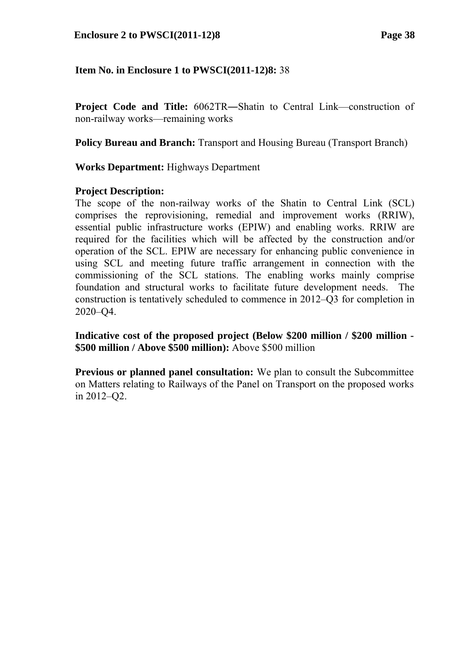**Project Code and Title:** 6062TR―Shatin to Central Link—construction of non-railway works—remaining works

**Policy Bureau and Branch:** Transport and Housing Bureau (Transport Branch)

**Works Department:** Highways Department

#### **Project Description:**

The scope of the non-railway works of the Shatin to Central Link (SCL) comprises the reprovisioning, remedial and improvement works (RRIW), essential public infrastructure works (EPIW) and enabling works. RRIW are required for the facilities which will be affected by the construction and/or operation of the SCL. EPIW are necessary for enhancing public convenience in using SCL and meeting future traffic arrangement in connection with the commissioning of the SCL stations. The enabling works mainly comprise foundation and structural works to facilitate future development needs. The construction is tentatively scheduled to commence in 2012–Q3 for completion in 2020–Q4.

**Indicative cost of the proposed project (Below \$200 million / \$200 million - \$500 million / Above \$500 million):** Above \$500 million

**Previous or planned panel consultation:** We plan to consult the Subcommittee on Matters relating to Railways of the Panel on Transport on the proposed works in 2012–Q2.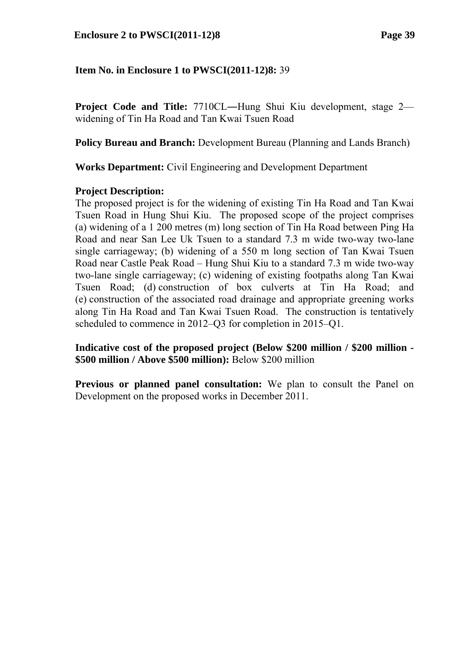**Project Code and Title:** 7710CL―Hung Shui Kiu development, stage 2 widening of Tin Ha Road and Tan Kwai Tsuen Road

**Policy Bureau and Branch:** Development Bureau (Planning and Lands Branch)

**Works Department:** Civil Engineering and Development Department

#### **Project Description:**

The proposed project is for the widening of existing Tin Ha Road and Tan Kwai Tsuen Road in Hung Shui Kiu. The proposed scope of the project comprises (a) widening of a 1 200 metres (m) long section of Tin Ha Road between Ping Ha Road and near San Lee Uk Tsuen to a standard 7.3 m wide two-way two-lane single carriageway; (b) widening of a 550 m long section of Tan Kwai Tsuen Road near Castle Peak Road – Hung Shui Kiu to a standard 7.3 m wide two-way two-lane single carriageway; (c) widening of existing footpaths along Tan Kwai Tsuen Road; (d) construction of box culverts at Tin Ha Road; and (e) construction of the associated road drainage and appropriate greening works along Tin Ha Road and Tan Kwai Tsuen Road. The construction is tentatively scheduled to commence in 2012–Q3 for completion in 2015–Q1.

**Indicative cost of the proposed project (Below \$200 million / \$200 million - \$500 million / Above \$500 million):** Below \$200 million

**Previous or planned panel consultation:** We plan to consult the Panel on Development on the proposed works in December 2011.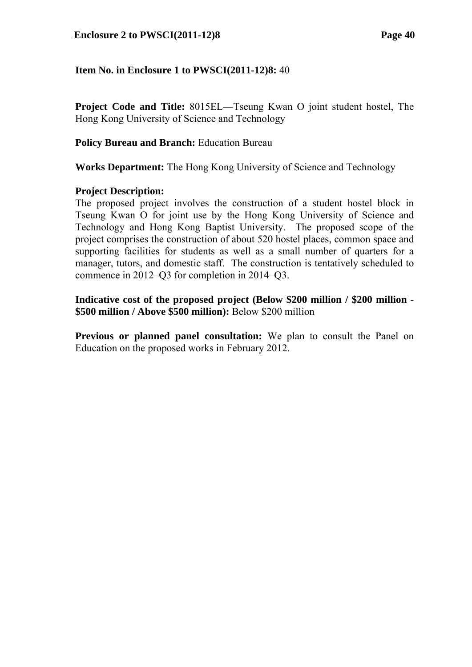#### **Enclosure 2 to PWSCI(2011-12)8 Page 40**

### **Item No. in Enclosure 1 to PWSCI(2011-12)8:** 40

**Project Code and Title:** 8015EL―Tseung Kwan O joint student hostel, The Hong Kong University of Science and Technology

#### **Policy Bureau and Branch:** Education Bureau

**Works Department:** The Hong Kong University of Science and Technology

#### **Project Description:**

The proposed project involves the construction of a student hostel block in Tseung Kwan O for joint use by the Hong Kong University of Science and Technology and Hong Kong Baptist University. The proposed scope of the project comprises the construction of about 520 hostel places, common space and supporting facilities for students as well as a small number of quarters for a manager, tutors, and domestic staff. The construction is tentatively scheduled to commence in 2012–Q3 for completion in 2014–Q3.

**Indicative cost of the proposed project (Below \$200 million / \$200 million - \$500 million / Above \$500 million):** Below \$200 million

**Previous or planned panel consultation:** We plan to consult the Panel on Education on the proposed works in February 2012.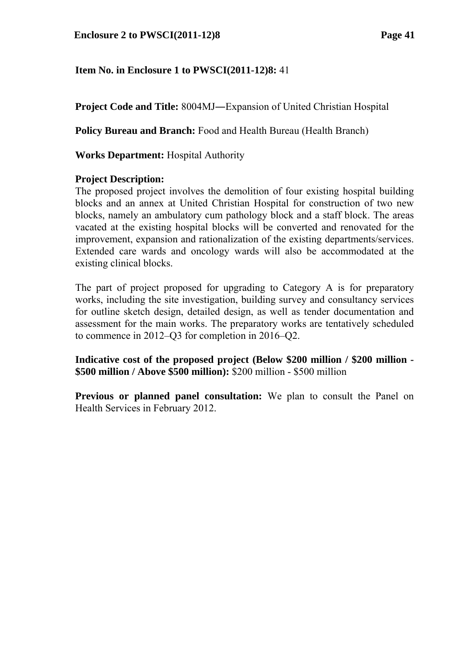**Project Code and Title:** 8004MJ―Expansion of United Christian Hospital

**Policy Bureau and Branch:** Food and Health Bureau (Health Branch)

**Works Department:** Hospital Authority

### **Project Description:**

The proposed project involves the demolition of four existing hospital building blocks and an annex at United Christian Hospital for construction of two new blocks, namely an ambulatory cum pathology block and a staff block. The areas vacated at the existing hospital blocks will be converted and renovated for the improvement, expansion and rationalization of the existing departments/services. Extended care wards and oncology wards will also be accommodated at the existing clinical blocks.

The part of project proposed for upgrading to Category A is for preparatory works, including the site investigation, building survey and consultancy services for outline sketch design, detailed design, as well as tender documentation and assessment for the main works. The preparatory works are tentatively scheduled to commence in 2012–Q3 for completion in 2016–Q2.

**Indicative cost of the proposed project (Below \$200 million / \$200 million - \$500 million / Above \$500 million):** \$200 million - \$500 million

**Previous or planned panel consultation:** We plan to consult the Panel on Health Services in February 2012.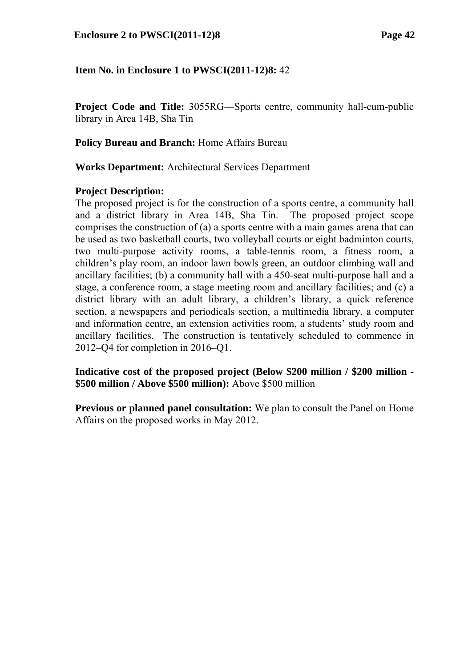**Project Code and Title:** 3055RG―Sports centre, community hall-cum-public library in Area 14B, Sha Tin

**Policy Bureau and Branch:** Home Affairs Bureau

**Works Department:** Architectural Services Department

### **Project Description:**

The proposed project is for the construction of a sports centre, a community hall and a district library in Area 14B, Sha Tin. The proposed project scope comprises the construction of (a) a sports centre with a main games arena that can be used as two basketball courts, two volleyball courts or eight badminton courts, two multi-purpose activity rooms, a table-tennis room, a fitness room, a children's play room, an indoor lawn bowls green, an outdoor climbing wall and ancillary facilities; (b) a community hall with a 450-seat multi-purpose hall and a stage, a conference room, a stage meeting room and ancillary facilities; and (c) a district library with an adult library, a children's library, a quick reference section, a newspapers and periodicals section, a multimedia library, a computer and information centre, an extension activities room, a students' study room and ancillary facilities. The construction is tentatively scheduled to commence in 2012–Q4 for completion in 2016–Q1.

**Indicative cost of the proposed project (Below \$200 million / \$200 million - \$500 million / Above \$500 million):** Above \$500 million

**Previous or planned panel consultation:** We plan to consult the Panel on Home Affairs on the proposed works in May 2012.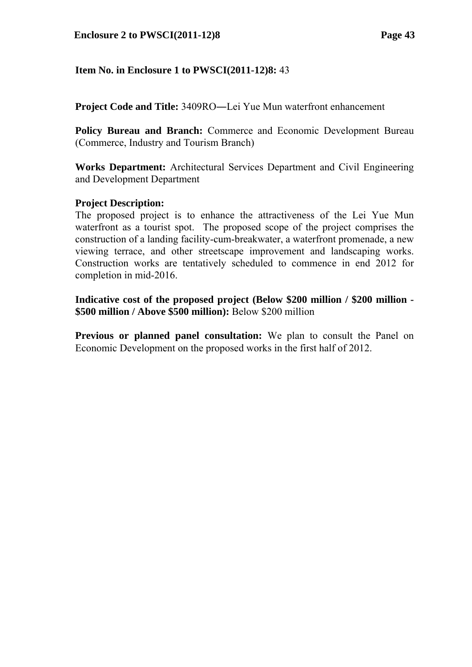**Project Code and Title:** 3409RO―Lei Yue Mun waterfront enhancement

**Policy Bureau and Branch:** Commerce and Economic Development Bureau (Commerce, Industry and Tourism Branch)

**Works Department:** Architectural Services Department and Civil Engineering and Development Department

### **Project Description:**

The proposed project is to enhance the attractiveness of the Lei Yue Mun waterfront as a tourist spot. The proposed scope of the project comprises the construction of a landing facility-cum-breakwater, a waterfront promenade, a new viewing terrace, and other streetscape improvement and landscaping works. Construction works are tentatively scheduled to commence in end 2012 for completion in mid-2016.

**Indicative cost of the proposed project (Below \$200 million / \$200 million - \$500 million / Above \$500 million):** Below \$200 million

**Previous or planned panel consultation:** We plan to consult the Panel on Economic Development on the proposed works in the first half of 2012.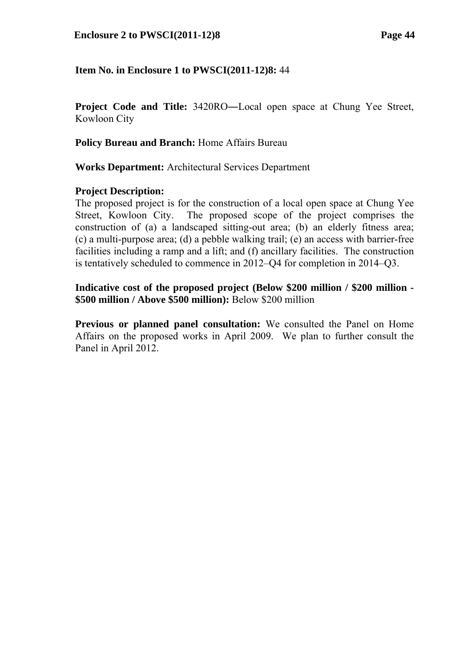#### **Enclosure 2 to PWSCI(2011-12)8 Page 44**

### **Item No. in Enclosure 1 to PWSCI(2011-12)8:** 44

**Project Code and Title:** 3420RO―Local open space at Chung Yee Street, Kowloon City

**Policy Bureau and Branch:** Home Affairs Bureau

**Works Department:** Architectural Services Department

#### **Project Description:**

The proposed project is for the construction of a local open space at Chung Yee Street, Kowloon City. The proposed scope of the project comprises the construction of (a) a landscaped sitting-out area; (b) an elderly fitness area; (c) a multi-purpose area; (d) a pebble walking trail; (e) an access with barrier-free facilities including a ramp and a lift; and (f) ancillary facilities. The construction is tentatively scheduled to commence in 2012–Q4 for completion in 2014–Q3.

### **Indicative cost of the proposed project (Below \$200 million / \$200 million - \$500 million / Above \$500 million):** Below \$200 million

**Previous or planned panel consultation:** We consulted the Panel on Home Affairs on the proposed works in April 2009. We plan to further consult the Panel in April 2012.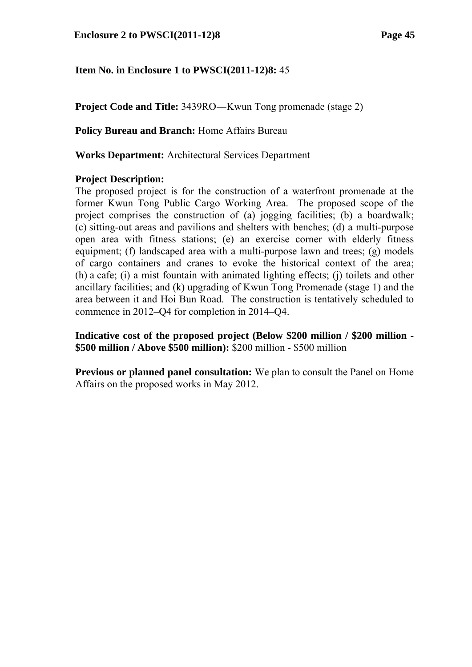**Project Code and Title:** 3439RO—Kwun Tong promenade (stage 2)

**Policy Bureau and Branch:** Home Affairs Bureau

**Works Department:** Architectural Services Department

### **Project Description:**

The proposed project is for the construction of a waterfront promenade at the former Kwun Tong Public Cargo Working Area. The proposed scope of the project comprises the construction of (a) jogging facilities; (b) a boardwalk; (c) sitting-out areas and pavilions and shelters with benches; (d) a multi-purpose open area with fitness stations; (e) an exercise corner with elderly fitness equipment; (f) landscaped area with a multi-purpose lawn and trees; (g) models of cargo containers and cranes to evoke the historical context of the area; (h) a cafe; (i) a mist fountain with animated lighting effects; (j) toilets and other ancillary facilities; and (k) upgrading of Kwun Tong Promenade (stage 1) and the area between it and Hoi Bun Road. The construction is tentatively scheduled to commence in 2012–Q4 for completion in 2014–Q4.

**Indicative cost of the proposed project (Below \$200 million / \$200 million - \$500 million / Above \$500 million):** \$200 million - \$500 million

**Previous or planned panel consultation:** We plan to consult the Panel on Home Affairs on the proposed works in May 2012.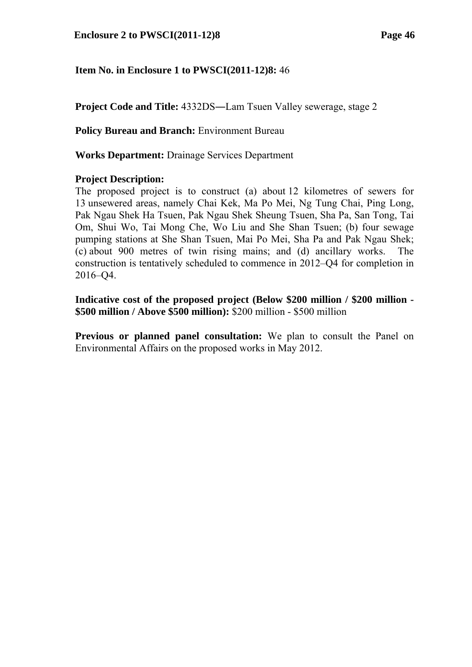**Project Code and Title:** 4332DS―Lam Tsuen Valley sewerage, stage 2

**Policy Bureau and Branch:** Environment Bureau

**Works Department:** Drainage Services Department

### **Project Description:**

The proposed project is to construct (a) about 12 kilometres of sewers for 13 unsewered areas, namely Chai Kek, Ma Po Mei, Ng Tung Chai, Ping Long, Pak Ngau Shek Ha Tsuen, Pak Ngau Shek Sheung Tsuen, Sha Pa, San Tong, Tai Om, Shui Wo, Tai Mong Che, Wo Liu and She Shan Tsuen; (b) four sewage pumping stations at She Shan Tsuen, Mai Po Mei, Sha Pa and Pak Ngau Shek; (c) about 900 metres of twin rising mains; and (d) ancillary works. The construction is tentatively scheduled to commence in 2012–Q4 for completion in 2016–Q4.

**Indicative cost of the proposed project (Below \$200 million / \$200 million - \$500 million / Above \$500 million):** \$200 million - \$500 million

**Previous or planned panel consultation:** We plan to consult the Panel on Environmental Affairs on the proposed works in May 2012.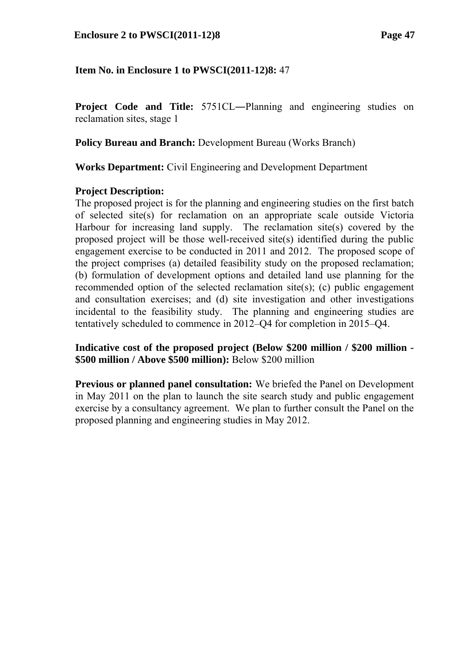**Project Code and Title:** 5751CL―Planning and engineering studies on reclamation sites, stage 1

**Policy Bureau and Branch:** Development Bureau (Works Branch)

**Works Department:** Civil Engineering and Development Department

### **Project Description:**

The proposed project is for the planning and engineering studies on the first batch of selected site(s) for reclamation on an appropriate scale outside Victoria Harbour for increasing land supply. The reclamation site(s) covered by the proposed project will be those well-received site(s) identified during the public engagement exercise to be conducted in 2011 and 2012. The proposed scope of the project comprises (a) detailed feasibility study on the proposed reclamation; (b) formulation of development options and detailed land use planning for the recommended option of the selected reclamation site(s); (c) public engagement and consultation exercises; and (d) site investigation and other investigations incidental to the feasibility study. The planning and engineering studies are tentatively scheduled to commence in 2012–Q4 for completion in 2015–Q4.

**Indicative cost of the proposed project (Below \$200 million / \$200 million - \$500 million / Above \$500 million):** Below \$200 million

**Previous or planned panel consultation:** We briefed the Panel on Development in May 2011 on the plan to launch the site search study and public engagement exercise by a consultancy agreement. We plan to further consult the Panel on the proposed planning and engineering studies in May 2012.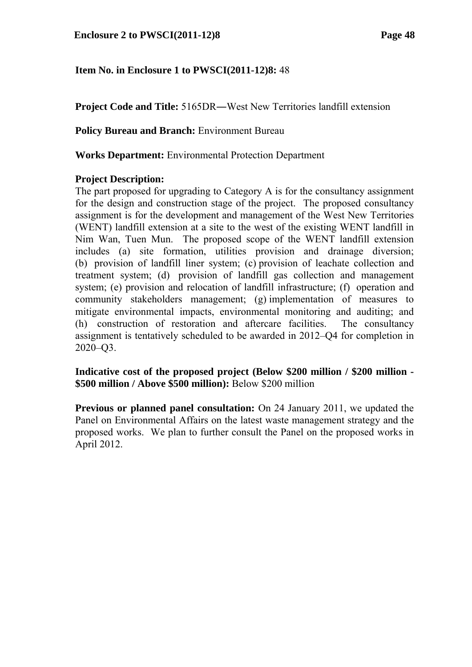**Project Code and Title:** 5165DR—West New Territories landfill extension

**Policy Bureau and Branch:** Environment Bureau

**Works Department:** Environmental Protection Department

### **Project Description:**

The part proposed for upgrading to Category A is for the consultancy assignment for the design and construction stage of the project. The proposed consultancy assignment is for the development and management of the West New Territories (WENT) landfill extension at a site to the west of the existing WENT landfill in Nim Wan, Tuen Mun. The proposed scope of the WENT landfill extension includes (a) site formation, utilities provision and drainage diversion; (b) provision of landfill liner system; (c) provision of leachate collection and treatment system; (d) provision of landfill gas collection and management system; (e) provision and relocation of landfill infrastructure; (f) operation and community stakeholders management; (g) implementation of measures to mitigate environmental impacts, environmental monitoring and auditing; and (h) construction of restoration and aftercare facilities. The consultancy assignment is tentatively scheduled to be awarded in 2012–Q4 for completion in 2020–Q3.

**Indicative cost of the proposed project (Below \$200 million / \$200 million - \$500 million / Above \$500 million):** Below \$200 million

**Previous or planned panel consultation:** On 24 January 2011, we updated the Panel on Environmental Affairs on the latest waste management strategy and the proposed works. We plan to further consult the Panel on the proposed works in April 2012.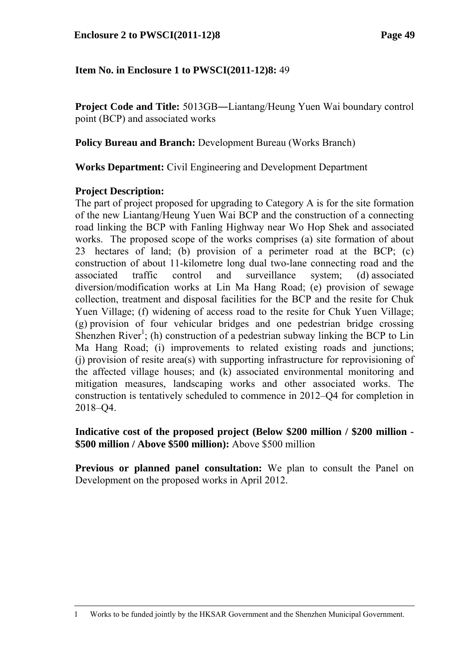**Project Code and Title:** 5013GB―Liantang/Heung Yuen Wai boundary control point (BCP) and associated works

**Policy Bureau and Branch:** Development Bureau (Works Branch)

**Works Department:** Civil Engineering and Development Department

# **Project Description:**

-

The part of project proposed for upgrading to Category A is for the site formation of the new Liantang/Heung Yuen Wai BCP and the construction of a connecting road linking the BCP with Fanling Highway near Wo Hop Shek and associated works. The proposed scope of the works comprises (a) site formation of about 23 hectares of land; (b) provision of a perimeter road at the BCP; (c) construction of about 11-kilometre long dual two-lane connecting road and the associated traffic control and surveillance system; (d) associated diversion/modification works at Lin Ma Hang Road; (e) provision of sewage collection, treatment and disposal facilities for the BCP and the resite for Chuk Yuen Village; (f) widening of access road to the resite for Chuk Yuen Village; (g) provision of four vehicular bridges and one pedestrian bridge crossing Shenzhen River<sup>1</sup>; (h) construction of a pedestrian subway linking the BCP to Lin Ma Hang Road; (i) improvements to related existing roads and junctions; (j) provision of resite area(s) with supporting infrastructure for reprovisioning of the affected village houses; and (k) associated environmental monitoring and mitigation measures, landscaping works and other associated works. The construction is tentatively scheduled to commence in 2012–Q4 for completion in 2018–Q4.

#### **Indicative cost of the proposed project (Below \$200 million / \$200 million - \$500 million / Above \$500 million):** Above \$500 million

**Previous or planned panel consultation:** We plan to consult the Panel on Development on the proposed works in April 2012.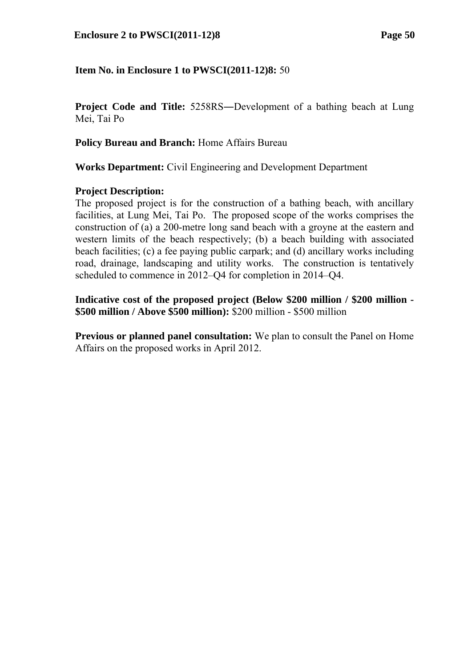**Project Code and Title:** 5258RS―Development of a bathing beach at Lung Mei, Tai Po

**Policy Bureau and Branch:** Home Affairs Bureau

**Works Department:** Civil Engineering and Development Department

### **Project Description:**

The proposed project is for the construction of a bathing beach, with ancillary facilities, at Lung Mei, Tai Po. The proposed scope of the works comprises the construction of (a) a 200-metre long sand beach with a groyne at the eastern and western limits of the beach respectively; (b) a beach building with associated beach facilities; (c) a fee paying public carpark; and (d) ancillary works including road, drainage, landscaping and utility works. The construction is tentatively scheduled to commence in 2012–Q4 for completion in 2014–Q4.

**Indicative cost of the proposed project (Below \$200 million / \$200 million - \$500 million / Above \$500 million):** \$200 million - \$500 million

**Previous or planned panel consultation:** We plan to consult the Panel on Home Affairs on the proposed works in April 2012.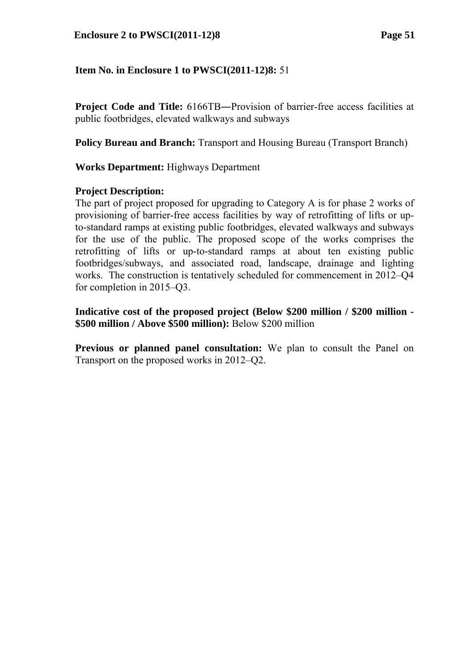**Project Code and Title:**  $6166TB$ —Provision of barrier-free access facilities at public footbridges, elevated walkways and subways

**Policy Bureau and Branch:** Transport and Housing Bureau (Transport Branch)

**Works Department:** Highways Department

#### **Project Description:**

The part of project proposed for upgrading to Category A is for phase 2 works of provisioning of barrier-free access facilities by way of retrofitting of lifts or upto-standard ramps at existing public footbridges, elevated walkways and subways for the use of the public. The proposed scope of the works comprises the retrofitting of lifts or up-to-standard ramps at about ten existing public footbridges/subways, and associated road, landscape, drainage and lighting works. The construction is tentatively scheduled for commencement in 2012–Q4 for completion in 2015–Q3.

**Indicative cost of the proposed project (Below \$200 million / \$200 million - \$500 million / Above \$500 million):** Below \$200 million

**Previous or planned panel consultation:** We plan to consult the Panel on Transport on the proposed works in 2012–Q2.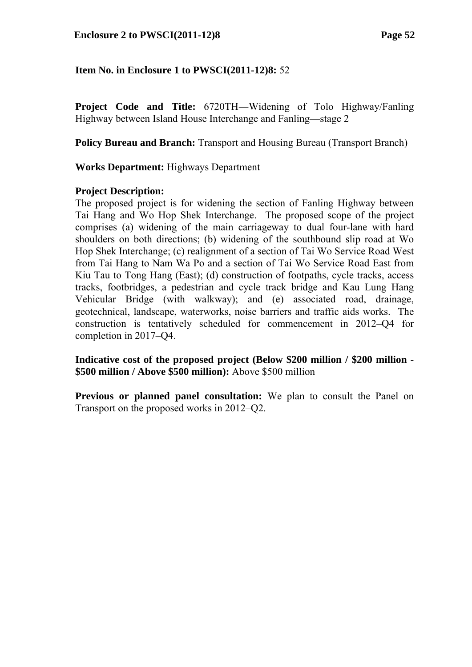**Project Code and Title:** 6720TH―Widening of Tolo Highway/Fanling Highway between Island House Interchange and Fanling—stage 2

**Policy Bureau and Branch:** Transport and Housing Bureau (Transport Branch)

### **Works Department:** Highways Department

#### **Project Description:**

The proposed project is for widening the section of Fanling Highway between Tai Hang and Wo Hop Shek Interchange. The proposed scope of the project comprises (a) widening of the main carriageway to dual four-lane with hard shoulders on both directions; (b) widening of the southbound slip road at Wo Hop Shek Interchange; (c) realignment of a section of Tai Wo Service Road West from Tai Hang to Nam Wa Po and a section of Tai Wo Service Road East from Kiu Tau to Tong Hang (East); (d) construction of footpaths, cycle tracks, access tracks, footbridges, a pedestrian and cycle track bridge and Kau Lung Hang Vehicular Bridge (with walkway); and (e) associated road, drainage, geotechnical, landscape, waterworks, noise barriers and traffic aids works. The construction is tentatively scheduled for commencement in 2012–Q4 for completion in 2017–Q4.

**Indicative cost of the proposed project (Below \$200 million / \$200 million - \$500 million / Above \$500 million):** Above \$500 million

**Previous or planned panel consultation:** We plan to consult the Panel on Transport on the proposed works in 2012–Q2.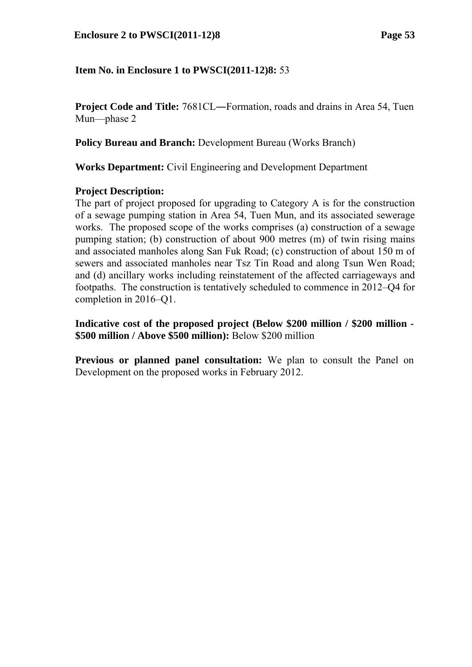#### **Enclosure 2 to PWSCI(2011-12)8 Page 53**

### **Item No. in Enclosure 1 to PWSCI(2011-12)8:** 53

**Project Code and Title:** 7681CL—Formation, roads and drains in Area 54, Tuen Mun—phase 2

**Policy Bureau and Branch:** Development Bureau (Works Branch)

**Works Department:** Civil Engineering and Development Department

#### **Project Description:**

The part of project proposed for upgrading to Category A is for the construction of a sewage pumping station in Area 54, Tuen Mun, and its associated sewerage works. The proposed scope of the works comprises (a) construction of a sewage pumping station; (b) construction of about 900 metres (m) of twin rising mains and associated manholes along San Fuk Road; (c) construction of about 150 m of sewers and associated manholes near Tsz Tin Road and along Tsun Wen Road; and (d) ancillary works including reinstatement of the affected carriageways and footpaths. The construction is tentatively scheduled to commence in 2012–Q4 for completion in 2016–Q1.

**Indicative cost of the proposed project (Below \$200 million / \$200 million - \$500 million / Above \$500 million):** Below \$200 million

**Previous or planned panel consultation:** We plan to consult the Panel on Development on the proposed works in February 2012.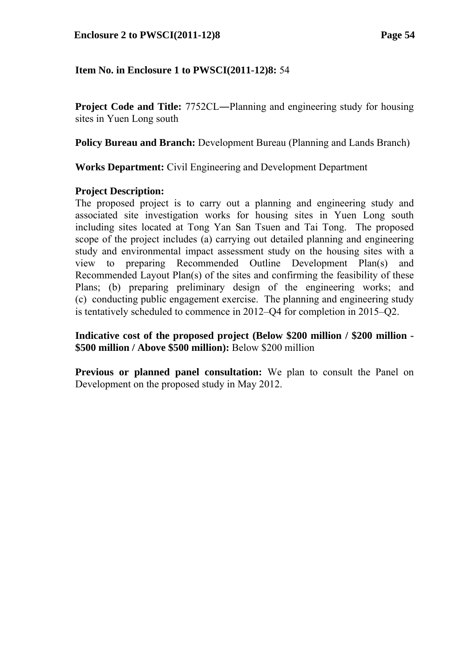**Project Code and Title:** 7752CL—Planning and engineering study for housing sites in Yuen Long south

**Policy Bureau and Branch:** Development Bureau (Planning and Lands Branch)

**Works Department:** Civil Engineering and Development Department

### **Project Description:**

The proposed project is to carry out a planning and engineering study and associated site investigation works for housing sites in Yuen Long south including sites located at Tong Yan San Tsuen and Tai Tong. The proposed scope of the project includes (a) carrying out detailed planning and engineering study and environmental impact assessment study on the housing sites with a view to preparing Recommended Outline Development Plan(s) and Recommended Layout Plan(s) of the sites and confirming the feasibility of these Plans; (b) preparing preliminary design of the engineering works; and (c) conducting public engagement exercise. The planning and engineering study is tentatively scheduled to commence in 2012–Q4 for completion in 2015–Q2.

**Indicative cost of the proposed project (Below \$200 million / \$200 million - \$500 million / Above \$500 million):** Below \$200 million

**Previous or planned panel consultation:** We plan to consult the Panel on Development on the proposed study in May 2012.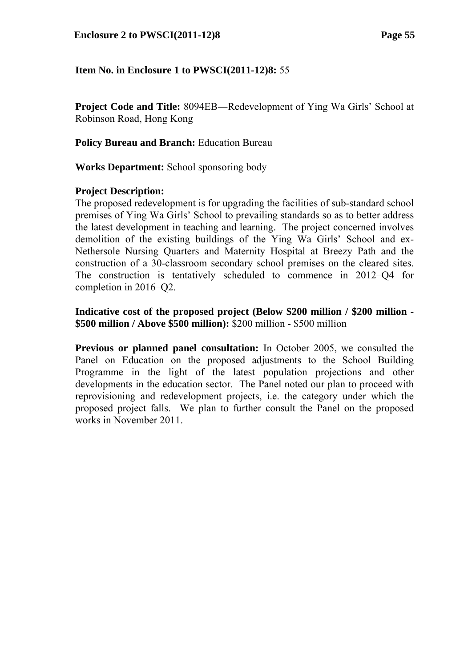**Project Code and Title: 8094EB—Redevelopment of Ying Wa Girls' School at** Robinson Road, Hong Kong

**Policy Bureau and Branch:** Education Bureau

**Works Department:** School sponsoring body

#### **Project Description:**

The proposed redevelopment is for upgrading the facilities of sub-standard school premises of Ying Wa Girls' School to prevailing standards so as to better address the latest development in teaching and learning. The project concerned involves demolition of the existing buildings of the Ying Wa Girls' School and ex-Nethersole Nursing Quarters and Maternity Hospital at Breezy Path and the construction of a 30-classroom secondary school premises on the cleared sites. The construction is tentatively scheduled to commence in 2012–Q4 for completion in 2016–Q2.

## **Indicative cost of the proposed project (Below \$200 million / \$200 million - \$500 million / Above \$500 million):** \$200 million - \$500 million

**Previous or planned panel consultation:** In October 2005, we consulted the Panel on Education on the proposed adjustments to the School Building Programme in the light of the latest population projections and other developments in the education sector. The Panel noted our plan to proceed with reprovisioning and redevelopment projects, i.e. the category under which the proposed project falls. We plan to further consult the Panel on the proposed works in November 2011.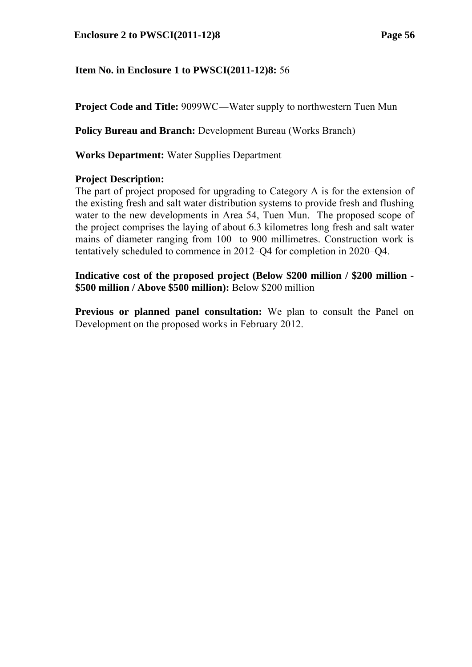**Project Code and Title: 9099WC—Water supply to northwestern Tuen Mun** 

**Policy Bureau and Branch:** Development Bureau (Works Branch)

**Works Department:** Water Supplies Department

### **Project Description:**

The part of project proposed for upgrading to Category A is for the extension of the existing fresh and salt water distribution systems to provide fresh and flushing water to the new developments in Area 54, Tuen Mun. The proposed scope of the project comprises the laying of about 6.3 kilometres long fresh and salt water mains of diameter ranging from 100 to 900 millimetres. Construction work is tentatively scheduled to commence in 2012–Q4 for completion in 2020–Q4.

**Indicative cost of the proposed project (Below \$200 million / \$200 million - \$500 million / Above \$500 million):** Below \$200 million

**Previous or planned panel consultation:** We plan to consult the Panel on Development on the proposed works in February 2012.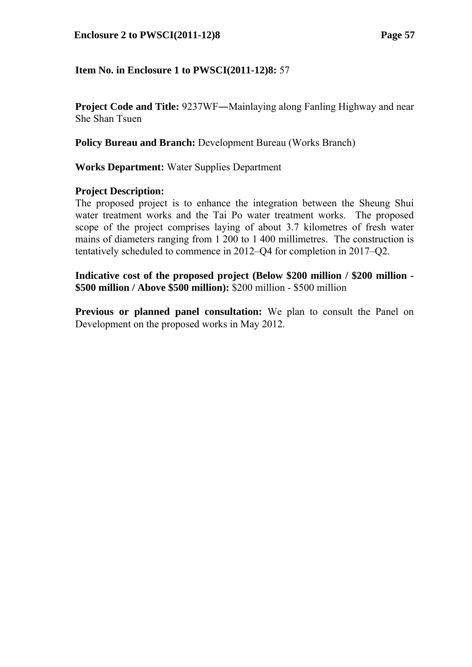#### **Enclosure 2 to PWSCI(2011-12)8 Page 57**

### **Item No. in Enclosure 1 to PWSCI(2011-12)8:** 57

**Project Code and Title:** 9237WF—Mainlaying along Fanling Highway and near She Shan Tsuen

**Policy Bureau and Branch:** Development Bureau (Works Branch)

**Works Department:** Water Supplies Department

#### **Project Description:**

The proposed project is to enhance the integration between the Sheung Shui water treatment works and the Tai Po water treatment works. The proposed scope of the project comprises laying of about 3.7 kilometres of fresh water mains of diameters ranging from 1 200 to 1 400 millimetres. The construction is tentatively scheduled to commence in 2012–Q4 for completion in 2017–Q2.

**Indicative cost of the proposed project (Below \$200 million / \$200 million - \$500 million / Above \$500 million):** \$200 million - \$500 million

**Previous or planned panel consultation:** We plan to consult the Panel on Development on the proposed works in May 2012.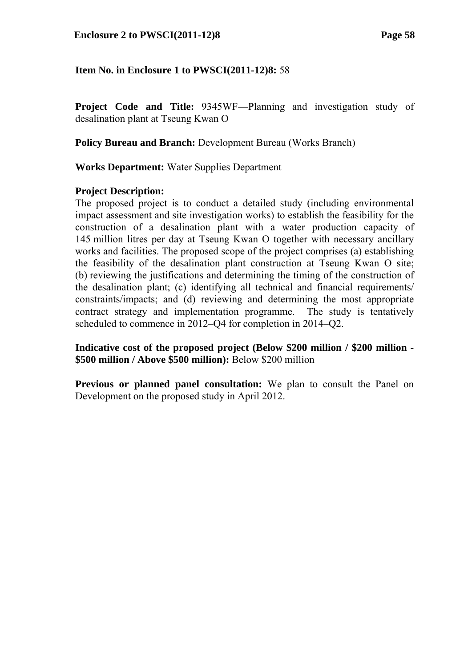**Project Code and Title:** 9345WF―Planning and investigation study of desalination plant at Tseung Kwan O

**Policy Bureau and Branch:** Development Bureau (Works Branch)

**Works Department:** Water Supplies Department

#### **Project Description:**

The proposed project is to conduct a detailed study (including environmental impact assessment and site investigation works) to establish the feasibility for the construction of a desalination plant with a water production capacity of 145 million litres per day at Tseung Kwan O together with necessary ancillary works and facilities. The proposed scope of the project comprises (a) establishing the feasibility of the desalination plant construction at Tseung Kwan O site; (b) reviewing the justifications and determining the timing of the construction of the desalination plant; (c) identifying all technical and financial requirements/ constraints/impacts; and (d) reviewing and determining the most appropriate contract strategy and implementation programme. The study is tentatively scheduled to commence in 2012–Q4 for completion in 2014–Q2.

**Indicative cost of the proposed project (Below \$200 million / \$200 million - \$500 million / Above \$500 million):** Below \$200 million

**Previous or planned panel consultation:** We plan to consult the Panel on Development on the proposed study in April 2012.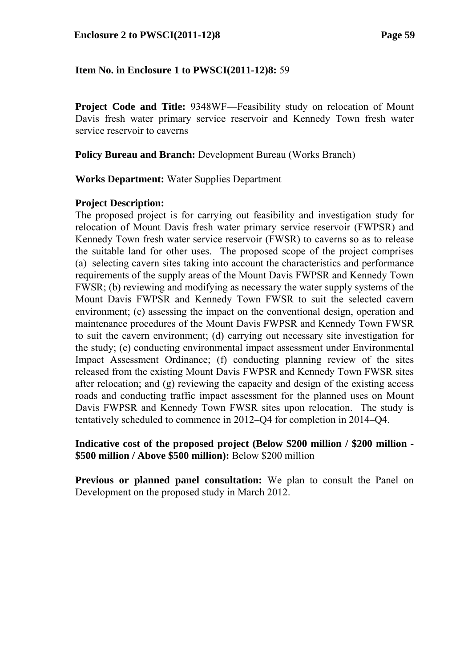**Project Code and Title: 9348WF—Feasibility study on relocation of Mount** Davis fresh water primary service reservoir and Kennedy Town fresh water service reservoir to caverns

**Policy Bureau and Branch:** Development Bureau (Works Branch)

**Works Department:** Water Supplies Department

### **Project Description:**

The proposed project is for carrying out feasibility and investigation study for relocation of Mount Davis fresh water primary service reservoir (FWPSR) and Kennedy Town fresh water service reservoir (FWSR) to caverns so as to release the suitable land for other uses. The proposed scope of the project comprises (a) selecting cavern sites taking into account the characteristics and performance requirements of the supply areas of the Mount Davis FWPSR and Kennedy Town FWSR; (b) reviewing and modifying as necessary the water supply systems of the Mount Davis FWPSR and Kennedy Town FWSR to suit the selected cavern environment; (c) assessing the impact on the conventional design, operation and maintenance procedures of the Mount Davis FWPSR and Kennedy Town FWSR to suit the cavern environment; (d) carrying out necessary site investigation for the study; (e) conducting environmental impact assessment under Environmental Impact Assessment Ordinance; (f) conducting planning review of the sites released from the existing Mount Davis FWPSR and Kennedy Town FWSR sites after relocation; and (g) reviewing the capacity and design of the existing access roads and conducting traffic impact assessment for the planned uses on Mount Davis FWPSR and Kennedy Town FWSR sites upon relocation. The study is tentatively scheduled to commence in 2012–Q4 for completion in 2014–Q4.

#### **Indicative cost of the proposed project (Below \$200 million / \$200 million - \$500 million / Above \$500 million):** Below \$200 million

**Previous or planned panel consultation:** We plan to consult the Panel on Development on the proposed study in March 2012.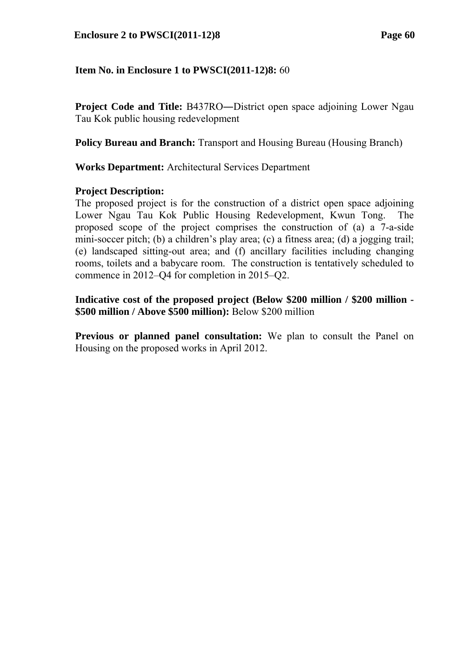**Project Code and Title: B437RO—District open space adjoining Lower Ngau** Tau Kok public housing redevelopment

**Policy Bureau and Branch:** Transport and Housing Bureau (Housing Branch)

**Works Department:** Architectural Services Department

#### **Project Description:**

The proposed project is for the construction of a district open space adjoining Lower Ngau Tau Kok Public Housing Redevelopment, Kwun Tong. The proposed scope of the project comprises the construction of (a) a 7-a-side mini-soccer pitch; (b) a children's play area; (c) a fitness area; (d) a jogging trail; (e) landscaped sitting-out area; and (f) ancillary facilities including changing rooms, toilets and a babycare room. The construction is tentatively scheduled to commence in 2012–Q4 for completion in 2015–Q2.

**Indicative cost of the proposed project (Below \$200 million / \$200 million - \$500 million / Above \$500 million):** Below \$200 million

**Previous or planned panel consultation:** We plan to consult the Panel on Housing on the proposed works in April 2012.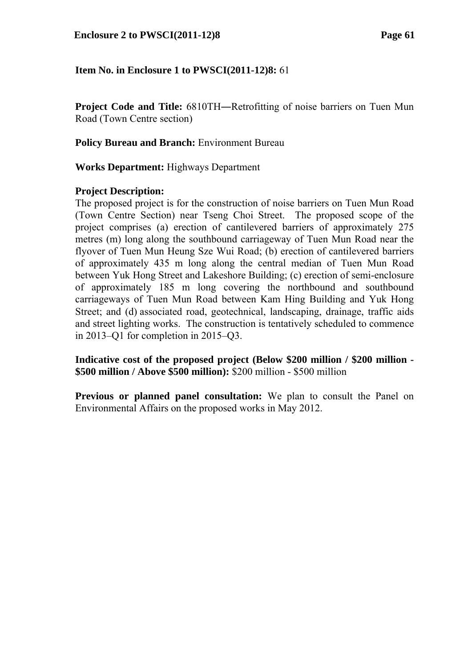**Project Code and Title:**  $6810TH$ —Retrofitting of noise barriers on Tuen Mun Road (Town Centre section)

**Policy Bureau and Branch:** Environment Bureau

**Works Department:** Highways Department

#### **Project Description:**

The proposed project is for the construction of noise barriers on Tuen Mun Road (Town Centre Section) near Tseng Choi Street. The proposed scope of the project comprises (a) erection of cantilevered barriers of approximately 275 metres (m) long along the southbound carriageway of Tuen Mun Road near the flyover of Tuen Mun Heung Sze Wui Road; (b) erection of cantilevered barriers of approximately 435 m long along the central median of Tuen Mun Road between Yuk Hong Street and Lakeshore Building; (c) erection of semi-enclosure of approximately 185 m long covering the northbound and southbound carriageways of Tuen Mun Road between Kam Hing Building and Yuk Hong Street; and (d) associated road, geotechnical, landscaping, drainage, traffic aids and street lighting works. The construction is tentatively scheduled to commence in 2013–Q1 for completion in 2015–Q3.

**Indicative cost of the proposed project (Below \$200 million / \$200 million - \$500 million / Above \$500 million):** \$200 million - \$500 million

**Previous or planned panel consultation:** We plan to consult the Panel on Environmental Affairs on the proposed works in May 2012.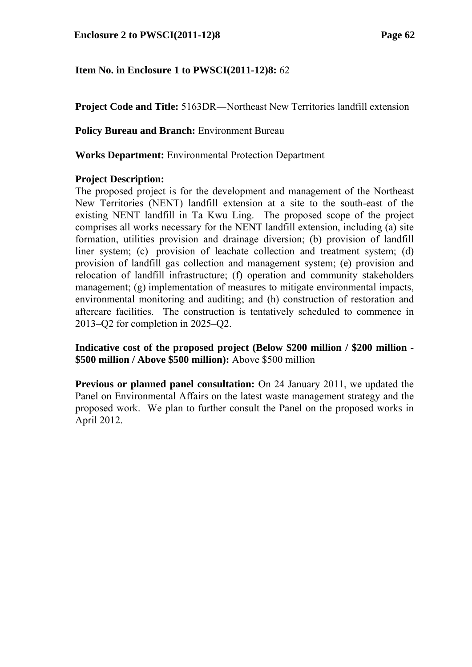**Project Code and Title:** 5163DR―Northeast New Territories landfill extension

**Policy Bureau and Branch:** Environment Bureau

**Works Department:** Environmental Protection Department

### **Project Description:**

The proposed project is for the development and management of the Northeast New Territories (NENT) landfill extension at a site to the south-east of the existing NENT landfill in Ta Kwu Ling. The proposed scope of the project comprises all works necessary for the NENT landfill extension, including (a) site formation, utilities provision and drainage diversion; (b) provision of landfill liner system; (c) provision of leachate collection and treatment system; (d) provision of landfill gas collection and management system; (e) provision and relocation of landfill infrastructure; (f) operation and community stakeholders management; (g) implementation of measures to mitigate environmental impacts, environmental monitoring and auditing; and (h) construction of restoration and aftercare facilities. The construction is tentatively scheduled to commence in 2013–Q2 for completion in 2025–Q2.

**Indicative cost of the proposed project (Below \$200 million / \$200 million - \$500 million / Above \$500 million):** Above \$500 million

**Previous or planned panel consultation:** On 24 January 2011, we updated the Panel on Environmental Affairs on the latest waste management strategy and the proposed work. We plan to further consult the Panel on the proposed works in April 2012.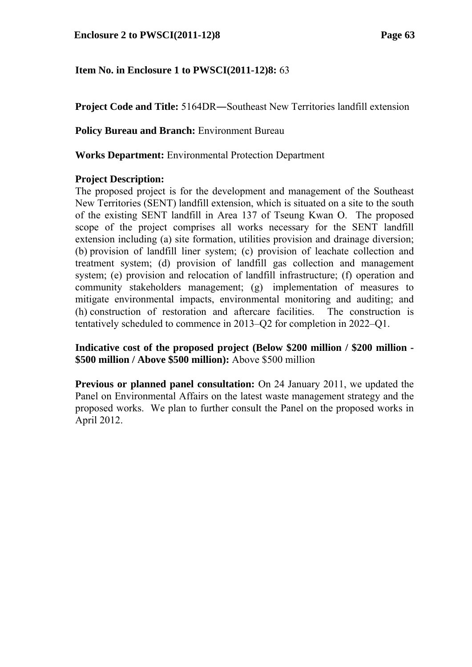**Project Code and Title:** 5164DR―Southeast New Territories landfill extension

**Policy Bureau and Branch:** Environment Bureau

**Works Department:** Environmental Protection Department

### **Project Description:**

The proposed project is for the development and management of the Southeast New Territories (SENT) landfill extension, which is situated on a site to the south of the existing SENT landfill in Area 137 of Tseung Kwan O. The proposed scope of the project comprises all works necessary for the SENT landfill extension including (a) site formation, utilities provision and drainage diversion; (b) provision of landfill liner system; (c) provision of leachate collection and treatment system; (d) provision of landfill gas collection and management system; (e) provision and relocation of landfill infrastructure; (f) operation and community stakeholders management; (g) implementation of measures to mitigate environmental impacts, environmental monitoring and auditing; and (h) construction of restoration and aftercare facilities. The construction is tentatively scheduled to commence in 2013–Q2 for completion in 2022–Q1.

**Indicative cost of the proposed project (Below \$200 million / \$200 million - \$500 million / Above \$500 million):** Above \$500 million

**Previous or planned panel consultation:** On 24 January 2011, we updated the Panel on Environmental Affairs on the latest waste management strategy and the proposed works. We plan to further consult the Panel on the proposed works in April 2012.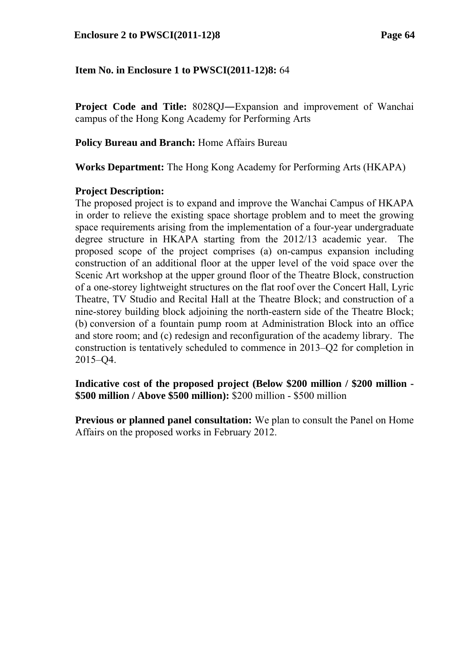**Project Code and Title:** 8028QJ―Expansion and improvement of Wanchai campus of the Hong Kong Academy for Performing Arts

**Policy Bureau and Branch:** Home Affairs Bureau

**Works Department:** The Hong Kong Academy for Performing Arts (HKAPA)

### **Project Description:**

The proposed project is to expand and improve the Wanchai Campus of HKAPA in order to relieve the existing space shortage problem and to meet the growing space requirements arising from the implementation of a four-year undergraduate degree structure in HKAPA starting from the 2012/13 academic year. The proposed scope of the project comprises (a) on-campus expansion including construction of an additional floor at the upper level of the void space over the Scenic Art workshop at the upper ground floor of the Theatre Block, construction of a one-storey lightweight structures on the flat roof over the Concert Hall, Lyric Theatre, TV Studio and Recital Hall at the Theatre Block; and construction of a nine-storey building block adjoining the north-eastern side of the Theatre Block; (b) conversion of a fountain pump room at Administration Block into an office and store room; and (c) redesign and reconfiguration of the academy library. The construction is tentatively scheduled to commence in 2013–Q2 for completion in 2015–Q4.

**Indicative cost of the proposed project (Below \$200 million / \$200 million - \$500 million / Above \$500 million):** \$200 million - \$500 million

**Previous or planned panel consultation:** We plan to consult the Panel on Home Affairs on the proposed works in February 2012.